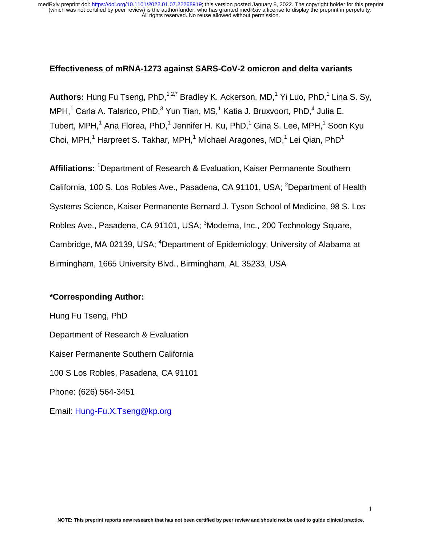## **Effectiveness of mRNA-1273 against SARS-CoV-2 omicron and delta variants**

Authors: Hung Fu Tseng, PhD,<sup>1,2,\*</sup> Bradley K. Ackerson, MD,<sup>1</sup> Yi Luo, PhD,<sup>1</sup> Lina S. Sy, MPH,<sup>1</sup> Carla A. Talarico, PhD,<sup>3</sup> Yun Tian, MS,<sup>1</sup> Katia J. Bruxvoort, PhD,<sup>4</sup> Julia E. Tubert, MPH, $^1$  Ana Florea, PhD, $^1$  Jennifer H. Ku, PhD, $^1$  Gina S. Lee, MPH, $^1$  Soon Kyu Choi, MPH,<sup>1</sup> Harpreet S. Takhar, MPH,<sup>1</sup> Michael Aragones, MD,<sup>1</sup> Lei Qian, PhD<sup>1</sup>

Affiliations: <sup>1</sup>Department of Research & Evaluation, Kaiser Permanente Southern California, 100 S. Los Robles Ave., Pasadena, CA 91101, USA; <sup>2</sup>Department of Health Systems Science, Kaiser Permanente Bernard J. Tyson School of Medicine, 98 S. Los Robles Ave., Pasadena, CA 91101, USA; <sup>3</sup>Moderna, Inc., 200 Technology Square, Cambridge, MA 02139, USA; <sup>4</sup>Department of Epidemiology, University of Alabama at Birmingham, 1665 University Blvd., Birmingham, AL 35233, USA

## **\*Corresponding Author:**

Hung Fu Tseng, PhD Department of Research & Evaluation Kaiser Permanente Southern California 100 S Los Robles, Pasadena, CA 91101 Phone: (626) 564-3451 Email: Hung-Fu.X.Tseng@kp.org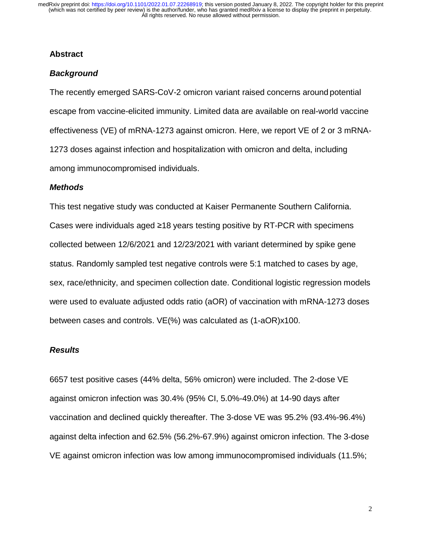## **Abstract**

## *Background*

The recently emerged SARS-CoV-2 omicron variant raised concerns around potential escape from vaccine-elicited immunity. Limited data are available on real-world vaccine effectiveness (VE) of mRNA-1273 against omicron. Here, we report VE of 2 or 3 mRNA-1273 doses against infection and hospitalization with omicron and delta, including among immunocompromised individuals.

### *Methods*

This test negative study was conducted at Kaiser Permanente Southern California. Cases were individuals aged ≥18 years testing positive by RT-PCR with specimens collected between 12/6/2021 and 12/23/2021 with variant determined by spike gene status. Randomly sampled test negative controls were 5:1 matched to cases by age, sex, race/ethnicity, and specimen collection date. Conditional logistic regression models were used to evaluate adjusted odds ratio (aOR) of vaccination with mRNA-1273 doses between cases and controls. VE(%) was calculated as (1-aOR)x100.

#### *Results*

6657 test positive cases (44% delta, 56% omicron) were included. The 2-dose VE against omicron infection was 30.4% (95% CI, 5.0%-49.0%) at 14-90 days after vaccination and declined quickly thereafter. The 3-dose VE was 95.2% (93.4%-96.4%) against delta infection and 62.5% (56.2%-67.9%) against omicron infection. The 3-dose VE against omicron infection was low among immunocompromised individuals (11.5%;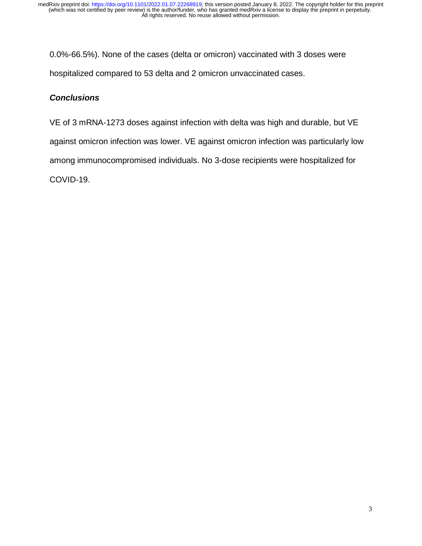0.0%-66.5%). None of the cases (delta or omicron) vaccinated with 3 doses were hospitalized compared to 53 delta and 2 omicron unvaccinated cases.

## *Conclusions*

VE of 3 mRNA-1273 doses against infection with delta was high and durable, but VE against omicron infection was lower. VE against omicron infection was particularly low among immunocompromised individuals. No 3-dose recipients were hospitalized for COVID-19.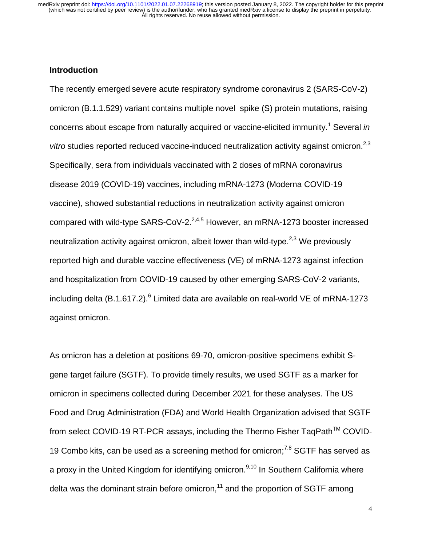## **Introduction**

The recently emerged severe acute respiratory syndrome coronavirus 2 (SARS-CoV-2) omicron (B.1.1.529) variant contains multiple novel spike (S) protein mutations, raising concerns about escape from naturally acquired or vaccine-elicited immunity.<sup>1</sup> Several *in vitro* studies reported reduced vaccine-induced neutralization activity against omicron.<sup>2,3</sup> Specifically, sera from individuals vaccinated with 2 doses of mRNA coronavirus disease 2019 (COVID-19) vaccines, including mRNA-1273 (Moderna COVID-19 vaccine), showed substantial reductions in neutralization activity against omicron compared with wild-type SARS-CoV-2. $^{2,4,5}$  However, an mRNA-1273 booster increased neutralization activity against omicron, albeit lower than wild-type.<sup> $2,3$ </sup> We previously reported high and durable vaccine effectiveness (VE) of mRNA-1273 against infection and hospitalization from COVID-19 caused by other emerging SARS-CoV-2 variants, including delta (B.1.617.2). $^6$  Limited data are available on real-world VE of mRNA-1273 against omicron.

As omicron has a deletion at positions 69-70, omicron-positive specimens exhibit Sgene target failure (SGTF). To provide timely results, we used SGTF as a marker for omicron in specimens collected during December 2021 for these analyses. The US Food and Drug Administration (FDA) and World Health Organization advised that SGTF from select COVID-19 RT-PCR assays, including the Thermo Fisher TaqPath™ COVID-19 Combo kits, can be used as a screening method for omicron; $^{7,8}$  SGTF has served as a proxy in the United Kingdom for identifying omicron.<sup>9,10</sup> In Southern California where delta was the dominant strain before omicron,<sup>11</sup> and the proportion of SGTF among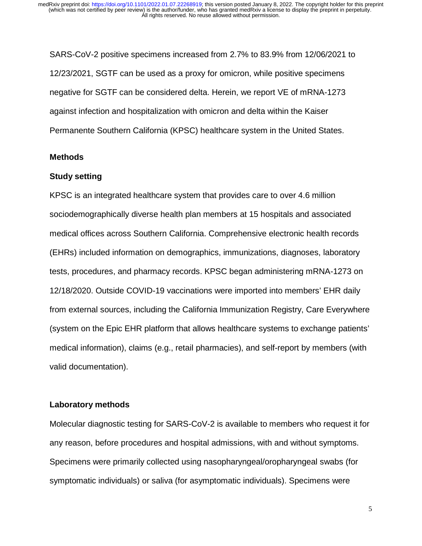SARS-CoV-2 positive specimens increased from 2.7% to 83.9% from 12/06/2021 to 12/23/2021, SGTF can be used as a proxy for omicron, while positive specimens negative for SGTF can be considered delta. Herein, we report VE of mRNA-1273 against infection and hospitalization with omicron and delta within the Kaiser Permanente Southern California (KPSC) healthcare system in the United States.

### **Methods**

#### **Study setting**

KPSC is an integrated healthcare system that provides care to over 4.6 million sociodemographically diverse health plan members at 15 hospitals and associated medical offices across Southern California. Comprehensive electronic health records (EHRs) included information on demographics, immunizations, diagnoses, laboratory tests, procedures, and pharmacy records. KPSC began administering mRNA-1273 on 12/18/2020. Outside COVID-19 vaccinations were imported into members' EHR daily from external sources, including the California Immunization Registry, Care Everywhere (system on the Epic EHR platform that allows healthcare systems to exchange patients' medical information), claims (e.g., retail pharmacies), and self-report by members (with valid documentation).

#### **Laboratory methods**

Molecular diagnostic testing for SARS-CoV-2 is available to members who request it for any reason, before procedures and hospital admissions, with and without symptoms. Specimens were primarily collected using nasopharyngeal/oropharyngeal swabs (for symptomatic individuals) or saliva (for asymptomatic individuals). Specimens were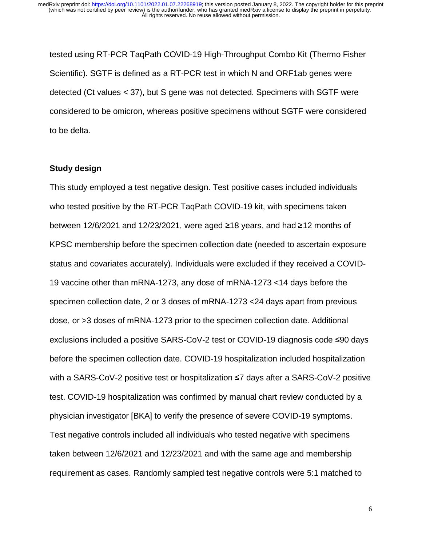tested using RT-PCR TaqPath COVID-19 High-Throughput Combo Kit (Thermo Fisher Scientific). SGTF is defined as a RT-PCR test in which N and ORF1ab genes were detected (Ct values < 37), but S gene was not detected. Specimens with SGTF were considered to be omicron, whereas positive specimens without SGTF were considered to be delta.

#### **Study design**

This study employed a test negative design. Test positive cases included individuals who tested positive by the RT-PCR TaqPath COVID-19 kit, with specimens taken between 12/6/2021 and 12/23/2021, were aged ≥18 years, and had ≥12 months of KPSC membership before the specimen collection date (needed to ascertain exposure status and covariates accurately). Individuals were excluded if they received a COVID-19 vaccine other than mRNA-1273, any dose of mRNA-1273 <14 days before the specimen collection date, 2 or 3 doses of mRNA-1273 <24 days apart from previous dose, or >3 doses of mRNA-1273 prior to the specimen collection date. Additional exclusions included a positive SARS-CoV-2 test or COVID-19 diagnosis code ≤90 days before the specimen collection date. COVID-19 hospitalization included hospitalization with a SARS-CoV-2 positive test or hospitalization ≤7 days after a SARS-CoV-2 positive test. COVID-19 hospitalization was confirmed by manual chart review conducted by a physician investigator [BKA] to verify the presence of severe COVID-19 symptoms. Test negative controls included all individuals who tested negative with specimens taken between 12/6/2021 and 12/23/2021 and with the same age and membership requirement as cases. Randomly sampled test negative controls were 5:1 matched to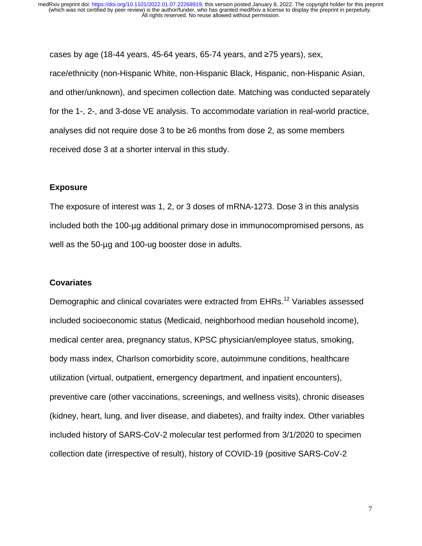cases by age (18-44 years, 45-64 years, 65-74 years, and ≥75 years), sex, race/ethnicity (non-Hispanic White, non-Hispanic Black, Hispanic, non-Hispanic Asian, and other/unknown), and specimen collection date. Matching was conducted separately for the 1-, 2-, and 3-dose VE analysis. To accommodate variation in real-world practice, analyses did not require dose 3 to be ≥6 months from dose 2, as some members received dose 3 at a shorter interval in this study.

#### **Exposure**

The exposure of interest was 1, 2, or 3 doses of mRNA-1273. Dose 3 in this analysis included both the 100-µg additional primary dose in immunocompromised persons, as well as the 50-µg and 100-ug booster dose in adults.

#### **Covariates**

Demographic and clinical covariates were extracted from EHRs.<sup>12</sup> Variables assessed included socioeconomic status (Medicaid, neighborhood median household income), medical center area, pregnancy status, KPSC physician/employee status, smoking, body mass index, Charlson comorbidity score, autoimmune conditions, healthcare utilization (virtual, outpatient, emergency department, and inpatient encounters), preventive care (other vaccinations, screenings, and wellness visits), chronic diseases (kidney, heart, lung, and liver disease, and diabetes), and frailty index. Other variables included history of SARS-CoV-2 molecular test performed from 3/1/2020 to specimen collection date (irrespective of result), history of COVID-19 (positive SARS-CoV-2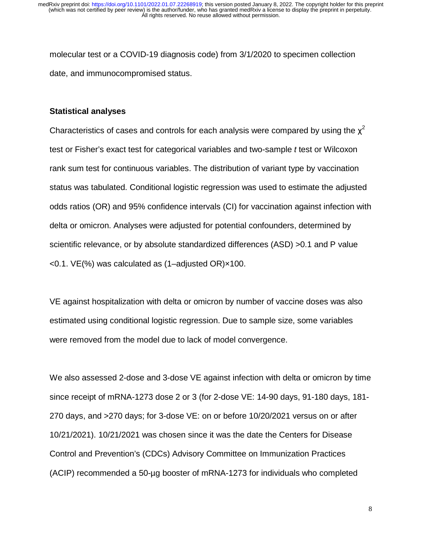molecular test or a COVID-19 diagnosis code) from 3/1/2020 to specimen collection date, and immunocompromised status.

#### **Statistical analyses**

Characteristics of cases and controls for each analysis were compared by using the  $x^2$ test or Fisher's exact test for categorical variables and two-sample *t* test or Wilcoxon rank sum test for continuous variables. The distribution of variant type by vaccination status was tabulated. Conditional logistic regression was used to estimate the adjusted odds ratios (OR) and 95% confidence intervals (CI) for vaccination against infection with delta or omicron. Analyses were adjusted for potential confounders, determined by scientific relevance, or by absolute standardized differences (ASD) >0.1 and P value <0.1. VE(%) was calculated as (1–adjusted OR)×100.

VE against hospitalization with delta or omicron by number of vaccine doses was also estimated using conditional logistic regression. Due to sample size, some variables were removed from the model due to lack of model convergence.

We also assessed 2-dose and 3-dose VE against infection with delta or omicron by time since receipt of mRNA-1273 dose 2 or 3 (for 2-dose VE: 14-90 days, 91-180 days, 181- 270 days, and >270 days; for 3-dose VE: on or before 10/20/2021 versus on or after 10/21/2021). 10/21/2021 was chosen since it was the date the Centers for Disease Control and Prevention's (CDCs) Advisory Committee on Immunization Practices (ACIP) recommended a 50-µg booster of mRNA-1273 for individuals who completed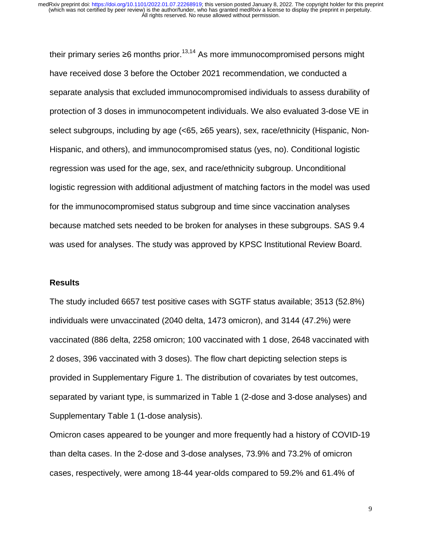their primary series  $\geq 6$  months prior.<sup>13,14</sup> As more immunocompromised persons might have received dose 3 before the October 2021 recommendation, we conducted a separate analysis that excluded immunocompromised individuals to assess durability of protection of 3 doses in immunocompetent individuals. We also evaluated 3-dose VE in select subgroups, including by age (<65, ≥65 years), sex, race/ethnicity (Hispanic, Non-Hispanic, and others), and immunocompromised status (yes, no). Conditional logistic regression was used for the age, sex, and race/ethnicity subgroup. Unconditional logistic regression with additional adjustment of matching factors in the model was used for the immunocompromised status subgroup and time since vaccination analyses because matched sets needed to be broken for analyses in these subgroups. SAS 9.4 was used for analyses. The study was approved by KPSC Institutional Review Board.

#### **Results**

The study included 6657 test positive cases with SGTF status available; 3513 (52.8%) individuals were unvaccinated (2040 delta, 1473 omicron), and 3144 (47.2%) were vaccinated (886 delta, 2258 omicron; 100 vaccinated with 1 dose, 2648 vaccinated with 2 doses, 396 vaccinated with 3 doses). The flow chart depicting selection steps is provided in Supplementary Figure 1. The distribution of covariates by test outcomes, separated by variant type, is summarized in Table 1 (2-dose and 3-dose analyses) and Supplementary Table 1 (1-dose analysis).

Omicron cases appeared to be younger and more frequently had a history of COVID-19 than delta cases. In the 2-dose and 3-dose analyses, 73.9% and 73.2% of omicron cases, respectively, were among 18-44 year-olds compared to 59.2% and 61.4% of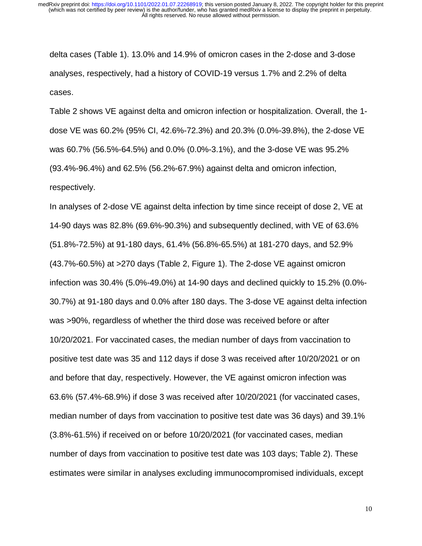delta cases (Table 1). 13.0% and 14.9% of omicron cases in the 2-dose and 3-dose analyses, respectively, had a history of COVID-19 versus 1.7% and 2.2% of delta cases.

Table 2 shows VE against delta and omicron infection or hospitalization. Overall, the 1 dose VE was 60.2% (95% CI, 42.6%-72.3%) and 20.3% (0.0%-39.8%), the 2-dose VE was 60.7% (56.5%-64.5%) and 0.0% (0.0%-3.1%), and the 3-dose VE was 95.2% (93.4%-96.4%) and 62.5% (56.2%-67.9%) against delta and omicron infection, respectively.

In analyses of 2-dose VE against delta infection by time since receipt of dose 2, VE at 14-90 days was 82.8% (69.6%-90.3%) and subsequently declined, with VE of 63.6% (51.8%-72.5%) at 91-180 days, 61.4% (56.8%-65.5%) at 181-270 days, and 52.9% (43.7%-60.5%) at >270 days (Table 2, Figure 1). The 2-dose VE against omicron infection was 30.4% (5.0%-49.0%) at 14-90 days and declined quickly to 15.2% (0.0%- 30.7%) at 91-180 days and 0.0% after 180 days. The 3-dose VE against delta infection was >90%, regardless of whether the third dose was received before or after 10/20/2021. For vaccinated cases, the median number of days from vaccination to positive test date was 35 and 112 days if dose 3 was received after 10/20/2021 or on and before that day, respectively. However, the VE against omicron infection was 63.6% (57.4%-68.9%) if dose 3 was received after 10/20/2021 (for vaccinated cases, median number of days from vaccination to positive test date was 36 days) and 39.1% (3.8%-61.5%) if received on or before 10/20/2021 (for vaccinated cases, median number of days from vaccination to positive test date was 103 days; Table 2). These estimates were similar in analyses excluding immunocompromised individuals, except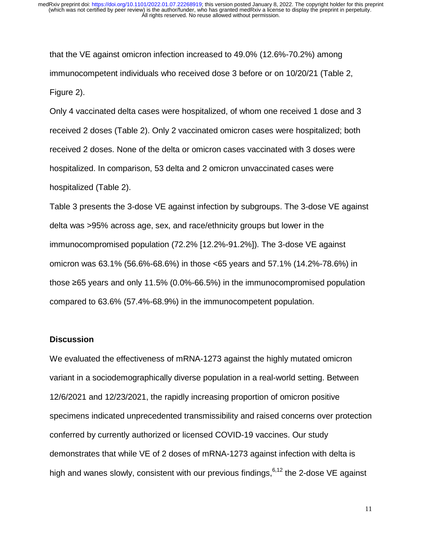that the VE against omicron infection increased to 49.0% (12.6%-70.2%) among immunocompetent individuals who received dose 3 before or on 10/20/21 (Table 2, Figure 2).

Only 4 vaccinated delta cases were hospitalized, of whom one received 1 dose and 3 received 2 doses (Table 2). Only 2 vaccinated omicron cases were hospitalized; both received 2 doses. None of the delta or omicron cases vaccinated with 3 doses were hospitalized. In comparison, 53 delta and 2 omicron unvaccinated cases were hospitalized (Table 2).

Table 3 presents the 3-dose VE against infection by subgroups. The 3-dose VE against delta was >95% across age, sex, and race/ethnicity groups but lower in the immunocompromised population (72.2% [12.2%-91.2%]). The 3-dose VE against omicron was 63.1% (56.6%-68.6%) in those <65 years and 57.1% (14.2%-78.6%) in those ≥65 years and only 11.5% (0.0%-66.5%) in the immunocompromised population compared to 63.6% (57.4%-68.9%) in the immunocompetent population.

### **Discussion**

We evaluated the effectiveness of mRNA-1273 against the highly mutated omicron variant in a sociodemographically diverse population in a real-world setting. Between 12/6/2021 and 12/23/2021, the rapidly increasing proportion of omicron positive specimens indicated unprecedented transmissibility and raised concerns over protection conferred by currently authorized or licensed COVID-19 vaccines. Our study demonstrates that while VE of 2 doses of mRNA-1273 against infection with delta is high and wanes slowly, consistent with our previous findings,  $6,12$  the 2-dose VE against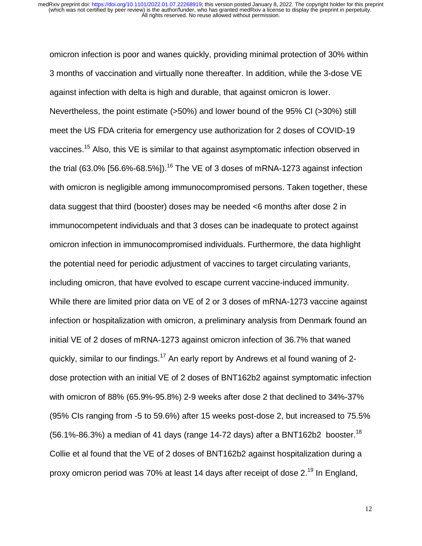omicron infection is poor and wanes quickly, providing minimal protection of 30% within 3 months of vaccination and virtually none thereafter. In addition, while the 3-dose VE against infection with delta is high and durable, that against omicron is lower. Nevertheless, the point estimate (>50%) and lower bound of the 95% CI (>30%) still meet the US FDA criteria for emergency use authorization for 2 doses of COVID-19 vaccines.<sup>15</sup> Also, this VE is similar to that against asymptomatic infection observed in the trial  $(63.0\%$  [56.6%-68.5%]).<sup>16</sup> The VE of 3 doses of mRNA-1273 against infection with omicron is negligible among immunocompromised persons. Taken together, these data suggest that third (booster) doses may be needed <6 months after dose 2 in immunocompetent individuals and that 3 doses can be inadequate to protect against omicron infection in immunocompromised individuals. Furthermore, the data highlight the potential need for periodic adjustment of vaccines to target circulating variants, including omicron, that have evolved to escape current vaccine-induced immunity. While there are limited prior data on VE of 2 or 3 doses of mRNA-1273 vaccine against infection or hospitalization with omicron, a preliminary analysis from Denmark found an initial VE of 2 doses of mRNA-1273 against omicron infection of 36.7% that waned quickly, similar to our findings.<sup>17</sup> An early report by Andrews et al found waning of 2dose protection with an initial VE of 2 doses of BNT162b2 against symptomatic infection with omicron of 88% (65.9%-95.8%) 2-9 weeks after dose 2 that declined to 34%-37% (95% CIs ranging from -5 to 59.6%) after 15 weeks post-dose 2, but increased to 75.5% (56.1%-86.3%) a median of 41 days (range 14-72 days) after a BNT162b2 booster.<sup>18</sup> Collie et al found that the VE of 2 doses of BNT162b2 against hospitalization during a proxy omicron period was 70% at least 14 days after receipt of dose 2.<sup>19</sup> In England,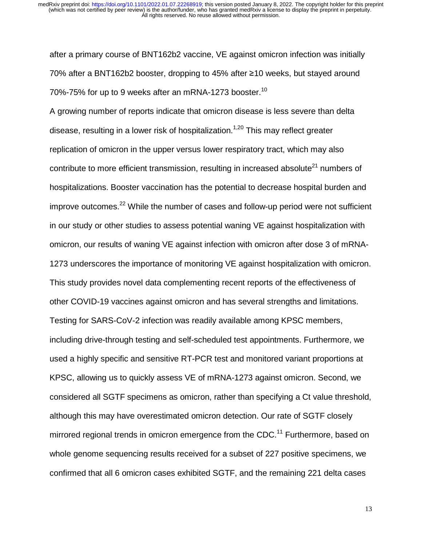after a primary course of BNT162b2 vaccine, VE against omicron infection was initially 70% after a BNT162b2 booster, dropping to 45% after ≥10 weeks, but stayed around 70%-75% for up to 9 weeks after an mRNA-1273 booster.<sup>10</sup>

A growing number of reports indicate that omicron disease is less severe than delta disease, resulting in a lower risk of hospitalization.<sup>1,20</sup> This may reflect greater replication of omicron in the upper versus lower respiratory tract, which may also contribute to more efficient transmission, resulting in increased absolute<sup>21</sup> numbers of hospitalizations. Booster vaccination has the potential to decrease hospital burden and improve outcomes. $^{22}$  While the number of cases and follow-up period were not sufficient in our study or other studies to assess potential waning VE against hospitalization with omicron, our results of waning VE against infection with omicron after dose 3 of mRNA-1273 underscores the importance of monitoring VE against hospitalization with omicron. This study provides novel data complementing recent reports of the effectiveness of other COVID-19 vaccines against omicron and has several strengths and limitations. Testing for SARS-CoV-2 infection was readily available among KPSC members, including drive-through testing and self-scheduled test appointments. Furthermore, we used a highly specific and sensitive RT-PCR test and monitored variant proportions at KPSC, allowing us to quickly assess VE of mRNA-1273 against omicron. Second, we considered all SGTF specimens as omicron, rather than specifying a Ct value threshold, although this may have overestimated omicron detection. Our rate of SGTF closely mirrored regional trends in omicron emergence from the CDC.<sup>11</sup> Furthermore, based on whole genome sequencing results received for a subset of 227 positive specimens, we confirmed that all 6 omicron cases exhibited SGTF, and the remaining 221 delta cases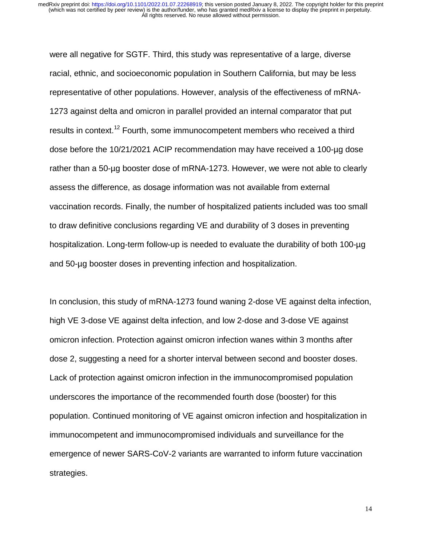were all negative for SGTF. Third, this study was representative of a large, diverse racial, ethnic, and socioeconomic population in Southern California, but may be less representative of other populations. However, analysis of the effectiveness of mRNA-1273 against delta and omicron in parallel provided an internal comparator that put results in context.<sup>12</sup> Fourth, some immunocompetent members who received a third dose before the 10/21/2021 ACIP recommendation may have received a 100-µg dose rather than a 50-µg booster dose of mRNA-1273. However, we were not able to clearly assess the difference, as dosage information was not available from external vaccination records. Finally, the number of hospitalized patients included was too small to draw definitive conclusions regarding VE and durability of 3 doses in preventing hospitalization. Long-term follow-up is needed to evaluate the durability of both 100-µg and 50-µg booster doses in preventing infection and hospitalization.

In conclusion, this study of mRNA-1273 found waning 2-dose VE against delta infection, high VE 3-dose VE against delta infection, and low 2-dose and 3-dose VE against omicron infection. Protection against omicron infection wanes within 3 months after dose 2, suggesting a need for a shorter interval between second and booster doses. Lack of protection against omicron infection in the immunocompromised population underscores the importance of the recommended fourth dose (booster) for this population. Continued monitoring of VE against omicron infection and hospitalization in immunocompetent and immunocompromised individuals and surveillance for the emergence of newer SARS-CoV-2 variants are warranted to inform future vaccination strategies.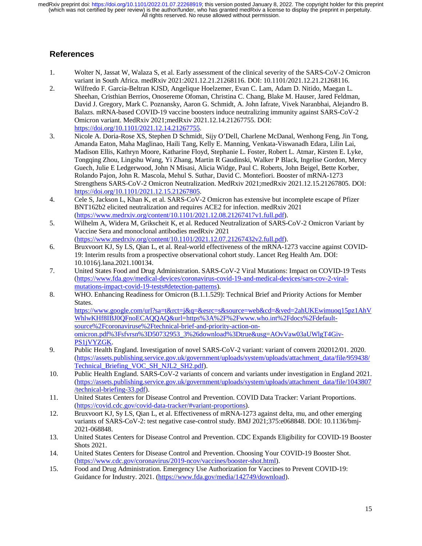## **References**

- 1. Wolter N, Jassat W, Walaza S, et al. Early assessment of the clinical severity of the SARS-CoV-2 Omicron variant in South Africa. medRxiv 2021:2021.12.21.21268116. DOI: 10.1101/2021.12.21.21268116.
- 2. Wilfredo F. Garcia-Beltran KJSD, Angelique Hoelzemer, Evan C. Lam, Adam D. Nitido, Maegan L. Sheehan, Cristhian Berrios, Onosereme Ofoman, Christina C. Chang, Blake M. Hauser, Jared Feldman, David J. Gregory, Mark C. Poznansky, Aaron G. Schmidt, A. John Iafrate, Vivek Naranbhai, Alejandro B. Balazs. mRNA-based COVID-19 vaccine boosters induce neutralizing immunity against SARS-CoV-2 Omicron variant. MedRxiv 2021;medRxiv 2021.12.14.21267755. DOI: https://doi.org/10.1101/2021.12.14.21267755.
- 3. Nicole A. Doria-Rose XS, Stephen D Schmidt, Sijy O'Dell, Charlene McDanal, Wenhong Feng, Jin Tong, Amanda Eaton, Maha Maglinao, Haili Tang, Kelly E. Manning, Venkata-Viswanadh Edara, Lilin Lai, Madison Ellis, Kathryn Moore, Katharine Floyd, Stephanie L. Foster, Robert L. Atmar, Kirsten E. Lyke, Tongqing Zhou, Lingshu Wang, Yi Zhang, Martin R Gaudinski, Walker P Black, Ingelise Gordon, Mercy Guech, Julie E Ledgerwood, John N Misasi, Alicia Widge, Paul C. Roberts, John Beigel, Bette Korber, Rolando Pajon, John R. Mascola, Mehul S. Suthar, David C. Montefiori. Booster of mRNA-1273 Strengthens SARS-CoV-2 Omicron Neutralization. MedRxiv 2021;medRxiv 2021.12.15.21267805. DOI: https://doi.org/10.1101/2021.12.15.21267805.
- 4. Cele S, Jackson L, Khan K, et al. SARS-CoV-2 Omicron has extensive but incomplete escape of Pfizer BNT162b2 elicited neutralization and requires ACE2 for infection. medRxiv 2021 (https://www.medrxiv.org/content/10.1101/2021.12.08.21267417v1.full.pdf).
- 5. Wilhelm A, Widera M, Grikscheit K, et al. Reduced Neutralization of SARS-CoV-2 Omicron Variant by Vaccine Sera and monoclonal antibodies medRxiv 2021 (https://www.medrxiv.org/content/10.1101/2021.12.07.21267432v2.full.pdf).
- 6. Bruxvoort KJ, Sy LS, Qian L, et al. Real-world effectiveness of the mRNA-1273 vaccine against COVID-19: Interim results from a prospective observational cohort study. Lancet Reg Health Am. DOI: 10.1016/j.lana.2021.100134.
- 7. United States Food and Drug Administration. SARS-CoV-2 Viral Mutations: Impact on COVID-19 Tests (https://www.fda.gov/medical-devices/coronavirus-covid-19-and-medical-devices/sars-cov-2-viralmutations-impact-covid-19-tests#detection-patterns).
- 8. WHO. Enhancing Readiness for Omicron (B.1.1.529): Technical Brief and Priority Actions for Member States.

https://www.google.com/url?sa=t&rct=j&q=&esrc=s&source=web&cd=&ved=2ahUKEwimuoq15pz1AhV WhlwKHf8IBJ0QFnoECAQQAQ&url=https%3A%2F%2Fwww.who.int%2Fdocs%2Fdefaultsource%2Fcoronaviruse%2Ftechnical-brief-and-priority-action-onomicron.pdf%3Fsfvrsn%3D50732953\_3%26download%3Dtrue&usg=AOvVaw03aUWlgT4Giv-PS1jVYZGK.

- 9. Public Health England. Investigation of novel SARS-CoV-2 variant: variant of convern 202012/01. 2020. (https://assets.publishing.service.gov.uk/government/uploads/system/uploads/attachment\_data/file/959438/ Technical Briefing VOC SH\_NJL2\_SH2.pdf).
- 10. Public Health England. SARS-CoV-2 variants of concern and variants under investigation in England 2021. (https://assets.publishing.service.gov.uk/government/uploads/system/uploads/attachment\_data/file/1043807 /technical-briefing-33.pdf).
- 11. United States Centers for Disease Control and Prevention. COVID Data Tracker: Variant Proportions. (https://covid.cdc.gov/covid-data-tracker/#variant-proportions).
- 12. Bruxvoort KJ, Sy LS, Qian L, et al. Effectiveness of mRNA-1273 against delta, mu, and other emerging variants of SARS-CoV-2: test negative case-control study. BMJ 2021;375:e068848. DOI: 10.1136/bmj-2021-068848.
- 13. United States Centers for Disease Control and Prevention. CDC Expands Eligibility for COVID-19 Booster Shots 2021.
- 14. United States Centers for Disease Control and Prevention. Choosing Your COVID-19 Booster Shot. (https://www.cdc.gov/coronavirus/2019-ncov/vaccines/booster-shot.html).
- 15. Food and Drug Administration. Emergency Use Authorization for Vaccines to Prevent COVID-19: Guidance for Industry. 2021. (https://www.fda.gov/media/142749/download).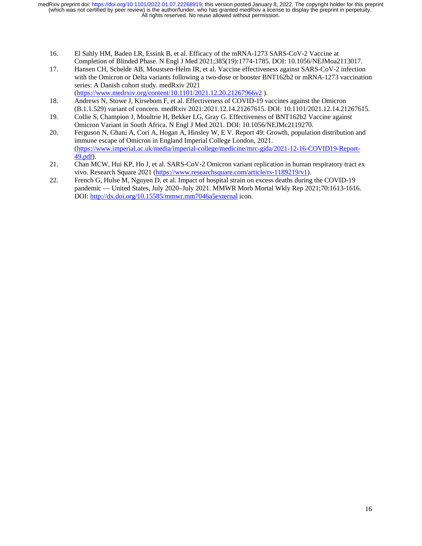- 16. El Sahly HM, Baden LR, Essink B, et al. Efficacy of the mRNA-1273 SARS-CoV-2 Vaccine at Completion of Blinded Phase. N Engl J Med 2021;385(19):1774-1785. DOI: 10.1056/NEJMoa2113017.
- 17. Hansen CH, Schelde AB, Moustsen-Helm IR, et al. Vaccine effectiveness against SARS-CoV-2 infection with the Omicron or Delta variants following a two-dose or booster BNT162b2 or mRNA-1273 vaccination series: A Danish cohort study. medRxiv 2021 (https://www.medrxiv.org/content/10.1101/2021.12.20.21267966v2 ).
- 18. Andrews N, Stowe J, Kirsebom F, et al. Effectiveness of COVID-19 vaccines against the Omicron (B.1.1.529) variant of concern. medRxiv 2021:2021.12.14.21267615. DOI: 10.1101/2021.12.14.21267615.
- 19. Collie S, Champion J, Moultrie H, Bekker LG, Gray G. Effectiveness of BNT162b2 Vaccine against Omicron Variant in South Africa. N Engl J Med 2021. DOI: 10.1056/NEJMc2119270.
- 20. Ferguson N, Ghani A, Cori A, Hogan A, Hinsley W, E V. Report 49: Growth, population distribution and immune escape of Omicron in England Imperial College London, 2021. (https://www.imperial.ac.uk/media/imperial-college/medicine/mrc-gida/2021-12-16-COVID19-Report-49.pdf).
- 21. Chan MCW, Hui KP, Ho J, et al. SARS-CoV-2 Omicron variant replication in human respiratory tract ex vivo. Research Square 2021 (https://www.researchsquare.com/article/rs-1189219/v1).
- 22. French G, Hulse M, Nguyen D, et al. Impact of hospital strain on excess deaths during the COVID-19 pandemic — United States, July 2020–July 2021. MMWR Morb Mortal Wkly Rep 2021;70:1613-1616. DOI: http://dx.doi.org/10.15585/mmwr.mm7046a5external icon.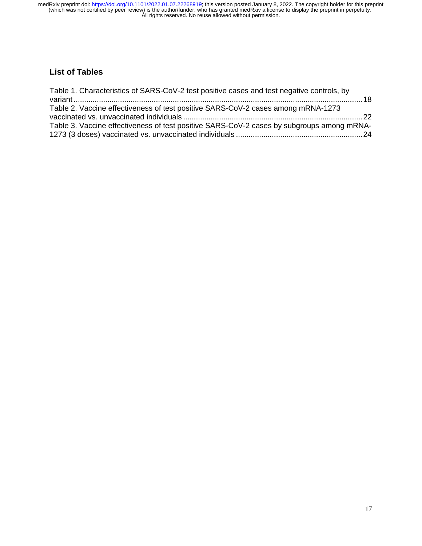# **List of Tables**

| Table 1. Characteristics of SARS-CoV-2 test positive cases and test negative controls, by |  |
|-------------------------------------------------------------------------------------------|--|
| Table 2. Vaccine effectiveness of test positive SARS-CoV-2 cases among mRNA-1273          |  |
|                                                                                           |  |
| Table 3. Vaccine effectiveness of test positive SARS-CoV-2 cases by subgroups among mRNA- |  |
|                                                                                           |  |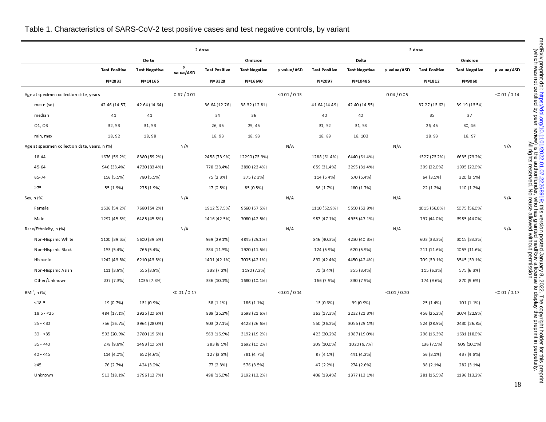|                                               |                      |                      |                 | 2 dose               |                      | 3 dose        |                      |                      |                 |                      |                      |               |
|-----------------------------------------------|----------------------|----------------------|-----------------|----------------------|----------------------|---------------|----------------------|----------------------|-----------------|----------------------|----------------------|---------------|
|                                               |                      | Delta                |                 |                      | Omicron              |               |                      | Delta                |                 |                      | Omicron              |               |
|                                               | <b>Test Positive</b> | <b>Test Negative</b> | p-<br>value/ASD | <b>Test Positive</b> | <b>Test Negative</b> | p value/ASD   | <b>Test Positive</b> | <b>Test Negative</b> | p value/ASD     | <b>Test Positive</b> | <b>Test Negative</b> | p value/ASD   |
|                                               | $N = 2833$           | $N = 14165$          |                 | N-3328               | $N = 16640$          |               | $N = 2097$           | $N = 10485$          |                 | $N = 1812$           | N-9060               |               |
| Age at specimen collection date, years        |                      |                      | 0.67 / 0.01     |                      |                      | < 0.01 / 0.13 |                      |                      | 0.04 / 0.05     |                      |                      | < 0.01 / 0.14 |
| mean (sd)                                     | 42 46 (14.57)        | 42.64 (14.64)        |                 | 36.64 (12.76)        | 38 32 (12.81)        |               | 41 64 (14 49)        | 42 40 (14.55)        |                 | 37.27 (13.62)        | 39.19 (13.54)        |               |
| median                                        | 41                   | 41                   |                 | 34                   | 36                   |               | 40                   | 40                   |                 | 35                   | 37                   |               |
| Q1, Q3                                        | 32, 53               | 31, 53               |                 | 26, 45               | 29, 45               |               | 31, 52               | 31, 53               |                 | 26, 45               | 30, 46               |               |
| min, max                                      | 18, 92               | 18,98                |                 | 18, 93               | 18, 93               |               | 18,89                | 18, 103              |                 | 18, 93               | 18, 97               |               |
| Age at specimen collection date, years, n (%) |                      |                      | N/A             |                      |                      | N/A           |                      |                      | N/A             |                      |                      | N/A           |
| 1844                                          | 1676 (59.2%)         | 8380 (59.2%)         |                 | 2458 (73.9%)         | 12290 (73.9%)        |               | 1288 (61.4%)         | 6440 (61.4%)         |                 | 1327 (73.2%)         | 6635 (73.2%)         |               |
| 45-64                                         | 946 (33.4%)          | 4730 (33.4%)         |                 | 778 (23.4%)          | 3890 (23.4%)         |               | 659 (31.4%)          | 3295 (31.4%)         |                 | 399 (22.0%)          | 1995 (22.0%)         |               |
| 65-74                                         | 156 (5.5%)           | 780 (5.5%)           |                 | 75 (2.3%)            | 375 (2.3%)           |               | 114 (5.4%)           | 570 (5.4%)           |                 | 64 (3.5%)            | 320 (3.5%)           |               |
| $\geq 75$                                     | 55 (1.9%)            | 275 (1.9%)           |                 | 17 (0.5%)            | 85 (0.5%)            |               | 36 (1.7%)            | 180 (1.7%)           |                 | 22 (1.2%)            | 110 (1.2%)           |               |
| Sex, n (%)                                    |                      |                      | N/A             |                      |                      | N/A           |                      |                      | N/A             |                      |                      | N/A           |
| Female                                        | 1536 (54.2%)         | 7680 (54.2%)         |                 | 1912 (57.5%)         | 9560 (57.5%)         |               | 1110 (52.9%)         | 5550 (52.9%)         |                 | 1015 (56.0%)         | 5075 (56.0%)         |               |
| Male                                          | 1297 (45.8%)         | 6485 (45.8%)         |                 | 1416 (42.5%)         | 7080 (42.5%)         |               | 987 (47.1%)          | 4935 (47.1%)         |                 | 797 (44.0%)          | 3985 (44 0%)         |               |
| Race/Ethnicity, n (%)                         |                      |                      | N/A             |                      |                      | N/A           |                      |                      | N/A             |                      |                      | N/A           |
| Non-Hispanic White                            | 1120 (39.5%)         | 5600 (39.5%)         |                 | 969 (29.1%)          | 4845 (29.1%)         |               | 846 (40.3%)          | 4230 (40.3%)         |                 | 603 (33.3%)          | 3015 (33.3%)         |               |
| Non-Hispanic Black                            | 153 (5.4%)           | 765 (5.4%)           |                 | 384 (11.5%)          | 1920 (11.5%)         |               | 124 (5.9%)           | 620 (5.9%)           |                 | 211 (11.6%)          | 1055 (11.6%)         |               |
| Hispanic                                      | 1242 (43.8%)         | 6210 (43.8%)         |                 | 1401 (42.1%)         | 7005 (42.1%)         |               | 890 (42.4%)          | 4450 (42.4%)         |                 | 709 (39.1%)          | 3545 (39.1%)         |               |
| Non-Hispanic Asian                            | 111 (3.9%)           | 555 (3.9%)           |                 | 238 (7.2%)           | 1190 (7.2%)          |               | 71 (3.4%)            | 355 (3.4%)           |                 | 115 (6.3%)           | 575 (6.3%)           |               |
| Other/Unknown                                 | 207 (7.3%)           | 1035 (7.3%)          |                 | 336 (10.1%)          | 1680 (10.1%)         |               | 166 (7.9%)           | 830 (7.9%)           |                 | 174 (9.6%)           | 870 (9.6%)           |               |
| $BMI^{b}$ , n (%)                             |                      |                      | < 0.01 / 0.17   |                      |                      | < 0.01 / 0.14 |                      |                      | $<$ 0.01 / 0.20 |                      |                      | < 0.01 / 0.17 |
| < 18.5                                        | 19 (0.7%)            | 131 (0.9%)           |                 | 38 (1.1%)            | 186 (1.1%)           |               | 13 (0.6%)            | 99 (0.9%)            |                 | 25 (1.4%)            | 101 (1.1%)           |               |
| $18.5 - 25$                                   | 484 (17.1%)          | 2925 (20.6%)         |                 | 839 (25.2%)          | 3598 (21.6%)         |               | 362 (17.3%)          | 2232 (21.3%)         |                 | 456 (25.2%)          | 2074 (22.9%)         |               |
| $25 - 30$                                     | 756 (26.7%)          | 3964 (28.0%)         |                 | 903 (27.1%)          | 4423 (26.6%)         |               | 550 (26.2%)          | 3055 (29.1%)         |                 | 524 (28.9%)          | 2430 (26.8%)         |               |
| $30 - 35$                                     | 593 (20.9%)          | 2780 (19.6%)         |                 | 563 (16.9%)          | 3192 (19.2%)         |               | 423 (20.2%)          | 1987 (19.0%)         |                 | 296 (16.3%)          | 1631 (180%)          |               |
| $35 - 40$                                     | 278 (9.8%)           | 1493 (10.5%)         |                 | 283 (8.5%)           | 1692 (10.2%)         |               | 209 (10.0%)          | 1020 (9.7%)          |                 | 136 (7.5%)           | 909 (10.0%)          |               |
| $40 - 45$                                     | 114 (4.0%)           | 652 (4.6%)           |                 | 127 (3.8%)           | 781 (4.7%)           |               | 87 (4.1%)            | 441 (4.2%)           |                 | 56 (3.1%)            | 437 (4.8%)           |               |
| $\geq 45$                                     | 76 (2.7%)            | 424 (3.0%)           |                 | 77 (2.3%)            | 576 (3.5%)           |               | 47 (2.2%)            | 274 (2.6%)           |                 | 38 (2.1%)            | 282 (3.1%)           |               |
| Unknown                                       | 513 (18.1%)          | 1796 (12.7%)         |                 | 498 (15.0%)          | 2192 (13.2%)         |               | 406 (19.4%)          | 1377 (13.1%)         |                 | 281 (15.5%)          | 1196 (13.2%)         |               |

## Table 1. Characteristics of SARS-CoV-2 test positive cases and test negative controls, by variant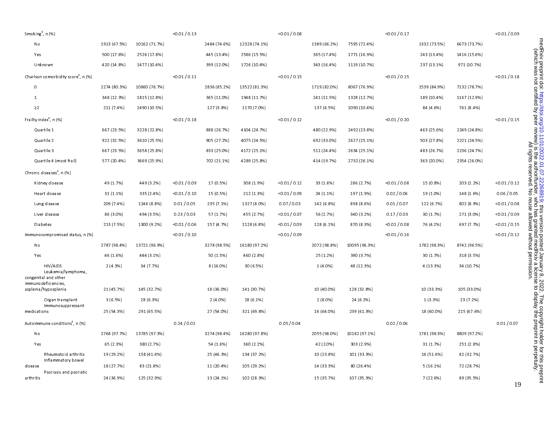|              | Smoking <sup>b</sup> , n (%)                           |              |               | < 0.01 / 0.13   |              |               | < 0.01 / 0.08 |              |               | < 0.01 / 0.17 |              |              | < 0.01 / 0.09 |
|--------------|--------------------------------------------------------|--------------|---------------|-----------------|--------------|---------------|---------------|--------------|---------------|---------------|--------------|--------------|---------------|
| No           |                                                        | 1913 (67.5%) | 10162 (71.7%) |                 | 2484 (74.6%) | 12328 (74.1%) |               | 1389 (66.2%) | 7595 (72.4%)  |               | 1332 (73.5%) | 6673 (73.7%) |               |
| Yes          |                                                        | 500 (17.6%)  | 2526 (17.8%)  |                 | 445 (13.4%)  | 2586 (15.5%)  |               | 365 (17.4%)  | 1771 (16.9%)  |               | 243 (13.4%)  | 1416 (15.6%) |               |
|              | Unknown                                                | 420 (14.8%)  | 1477 (10.4%)  |                 | 399 (12.0%)  | 1726 (10.4%)  |               | 343 (16.4%)  | 1119 (10.7%)  |               | 237 (13.1%)  | 971 (10.7%)  |               |
|              | Charlson comorbidity score <sup>a</sup> , n (%)        |              |               | < 0.01 / 0.11   |              |               | < 0.01 / 0.15 |              |               | < 0.01 / 0.15 |              |              | < 0.01 / 0.18 |
| 0            |                                                        | 2274 (80.3%) | 10860 (76.7%) |                 | 2836 (85.2%) | 13522 (81.3%) |               | 1719 (82.0%) | 8067 (76.9%)  |               | 1539 (84.9%) | 7132 (78.7%) |               |
| $\mathbf{1}$ |                                                        | 348 (12.3%)  | 1815 (12.8%)  |                 | 365 (11.0%)  | 1948 (11 7%)  |               | 241 (11.5%)  | 1328 (12.7%)  |               | 189 (10.4%)  | 1167 (12.9%) |               |
| $\geq$ 2     |                                                        | 211 (7.4%)   | 1490 (10.5%)  |                 | 127 (3.8%)   | 1170 (7.0%)   |               | 137 (6.5%)   | 1090 (10.4%)  |               | 84 (4.6%)    | 761 (8.4%)   |               |
|              | Frailty index <sup>ª</sup> , n (%)                     |              |               | < 0.01 / 0.18   |              |               | < 0.01 / 0.12 |              |               | < 0.01 / 0.20 |              |              | < 0.01 / 0.15 |
|              | Quartile 1                                             | 667 (23.5%)  | 3228 (22.8%)  |                 | 888 (26.7%)  | 4104 (24.7%)  |               | 480 (22.9%)  | 2492 (23.8%)  |               | 463 (25.6%)  | 2249 (24.8%) |               |
|              | Quartile 2                                             | 922 (32.5%)  | 3610 (25.5%)  |                 | 905 (27.2%)  | 4075 (24.5%)  |               | 692 (33.0%)  | 2627 (25.1%)  |               | 503 (27.8%)  | 2221 (24.5%) |               |
|              | Quartile 3                                             | 667 (23.5%)  | 3658 (25.8%)  |                 | 833 (25.0%)  | 4172 (25.1%)  |               | 511 (24.4%)  | 2634 (25.1%)  |               | 483 (26.7%)  | 2236 (24.7%) |               |
|              | Quartile 4 (most frail)                                | 577 (20.4%)  | 3669 (25.9%)  |                 | 702 (21.1%)  | 4289 (25.8%)  |               | 414 (19.7%)  | 2732 (26.1%)  |               | 363 (20.0%)  | 2354 (26.0%) |               |
|              | Chronic diseases <sup>a</sup> , n (%)                  |              |               |                 |              |               |               |              |               |               |              |              |               |
|              | Kidney disease                                         | 49 (1.7%)    | 449 (3.2%)    | $<$ 0.01 / 0.09 | 17 (0.5%)    | 308 (1.9%)    | < 0.01 / 0.12 | 33 (1.6%)    | 286 (2.7%)    | < 0.01 / 0.08 | 15 (0.8%)    | 203 (2.2%)   | < 0.01 / 0.12 |
|              | Heart disease                                          | 31 (1.1%)    | 335 (2.4%)    | <0.01 / 0.10    | 15 (0.5%)    | 212 (1.3%)    | < 0.01 / 0.09 | 24 (1.1%)    | 197 (1.9%)    | 0.02 / 0.06   | 19 (1.0%)    | 148 (1.6%)   | 0.06 / 0.05   |
|              | Lung disease                                           | 209 (7.4%)   | 1246 (8.8%)   | 0.01 / 0.05     | 235 (7.1%)   | 1327 (8.0%)   | 0.07 / 0.03   | 142 (6.8%)   | 898 (8.6%)    | 0.01 / 0.07   | 122 (6.7%)   | 802 (8.9%)   | < 0.01 / 0.08 |
|              | Liver disease                                          | 86 (3.0%)    | 494 (3.5%)    | 0.23 / 0.03     | 57 (1.7%)    | 455 (2.7%)    | < 0.01 / 0.07 | 56 (2.7%)    | 340 (3.2%)    | 0.17/0.03     | 30 (1.7%)    | 271 (3.0%)   | < 0.01 / 0.09 |
|              | Diabetes                                               | 213 (7.5%)   | 1300 (9.2%)   | < 0.01 / 0.06   | 157 (4.7%)   | 1128 (6.8%)   | < 0.01 / 0.09 | 128 (6.1%)   | 870 (8.3%)    | < 0.01 / 0.08 | 76 (4.2%)    | 697 (7.7%)   | < 0.01 / 0.15 |
|              | Immunocompromised status, n (%)                        |              |               | < 0.01 / 0.10   |              |               | < 0.01 / 0.09 |              |               | < 0.01 / 0.16 |              |              | < 0.01 / 0.12 |
| No           |                                                        | 2787 (98.4%) | 13721 (96.9%) |                 | 3278 (98.5%) | 16180 (97.2%) |               | 2072 (98.8%) | 10095 (96.3%) |               | 1782 (98.3%) | 8742 (96.5%) |               |
| Yes          |                                                        | 46 (1.6%)    | 444 (3.1%)    |                 | 50 (1.5%)    | 460 (2.8%)    |               | 25 (1.2%)    | 390 (3.7%)    |               | 30 (1.7%)    | 318 (3.5%)   |               |
|              | HIV/AIDS<br>Leukemia/lymphoma,<br>congenital and other | 2(4.3%)      | 34 (7.7%)     |                 | 8 (16.0%)    | 30 (6.5%)     |               | 1 (4.0%)     | 48 (12.3%)    |               | 4 (13.3%)    | 34 (10.7%)   |               |
|              | immunodeficiencies,<br>asplenia/hyposplenia            | 21 (45.7%)   | 145 (32 7%)   |                 | 18 (36.0%)   | 141 (30.7%)   |               | 10 (40 0%)   | 128 (32.8%)   |               | 10 (33.3%)   | 105 (33.0%)  |               |
|              | Organ transplant                                       | 3(6.5%)      | 28 (6.3%)     |                 | $2(4.0\%)$   | 28 (6.1%)     |               | $2(8.0\%)$   | 24 (6 2%)     |               | 1(3.3%)      | 23 (7.2%)    |               |
| medications  | Immunosuppressant                                      | 25 (54.3%)   | 291 (65.5%)   |                 | 27 (54.0%)   | 321 (69.8%)   |               | 16 (64.0%)   | 239 (61.3%)   |               | 18 (60.0%)   | 215 (67.6%)  |               |
|              | Autoimmune conditions <sup>a</sup> , n (%)             |              |               | 0.24 / 0.02     |              |               | 0.05 / 0.04   |              |               | 0.02 / 0.06   |              |              | 0.01 / 0.07   |
| No           |                                                        | 2768 (97.7%) | 13785 (97.3%) |                 | 3274 (98.4%) | 16280 (97.8%) |               | 2055 (98.0%) | 10182 (97.1%) |               | 1781 (98.3%) | 8809 (97.2%) |               |
| Yes          |                                                        | 65 (2.3%)    | 380 (2.7%)    |                 | 54 (1.6%)    | 360 (2.2%)    |               | 42 (2.0%)    | 303 (2.9%)    |               | 31 (1.7%)    | 251 (2.8%)   |               |
|              | Rheumatoid arthritis                                   | 19 (29.2%)   | 158 (41.6%)   |                 | 25 (46.3%)   | 134 (37.2%)   |               | 10 (23.8%)   | 101 (33.3%)   |               | 16 (51.6%)   | 82 (32.7%)   |               |
| disease      | Inflammatory bowel                                     | 18 (27.7%)   | 83 (21 8%)    |                 | 11 (20.4%)   | 105 (29.2%)   |               | 14 (33.3%)   | 80 (26.4%)    |               | 5 (16.1%)    | 72 (28.7%)   |               |
| arthritis    | Psoriasis and psoriatic                                | 24 (36.9%)   | 125 (32.9%)   |                 | 13 (24.1%)   | 102 (28.3%)   |               | 15 (35.7%)   | 107 (35.3%)   |               | 7 (22.6%)    | 89 (35.5%)   |               |

medRxiv preprint doi: https://doi.org/10.1101/2022.01.07.22268919; this version posted January 8, 2022. The copyright holder for this preprint<br>(which was not certified by peer review) is the author/funder, who has granted The copyright holder for this preprint that is prepries is this version posted Danced Dans and this preprint this preprint the contribution or the copyright replace is the copyright replace in the contribution of  $202.2$ . (which was not certified by peer review) is the author/funder, who has granted medRxiv a license to display the preprint in perpetuity. All rights reserved. No reuse allowed without permission.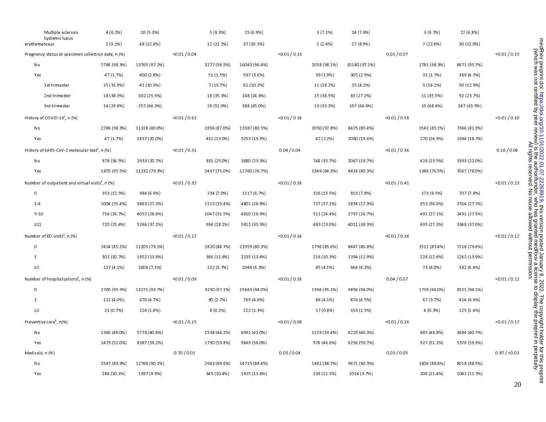|                 | Multiple sclerosis<br>Systemic lupus                         | 4 (6.2%)     | 20 (5.3%)     |               | 5(9.3%)      | 25 (6.9%)     |               | 3(7.1%)      | 24 (7.9%)     |               | 3(9.7%)      | 17 (6.8%)    |               |
|-----------------|--------------------------------------------------------------|--------------|---------------|---------------|--------------|---------------|---------------|--------------|---------------|---------------|--------------|--------------|---------------|
| erythematosus   |                                                              | 2(3.1%)      | 48 (12.6%)    |               | 12 (22.2%)   | 37 (10.3%)    |               | 1(2.4%)      | 27 (8.9%)     |               | 7 (22.6%)    | 30 (12.0%)   |               |
|                 | Pregnancy status at specimen collection date, n (%)          |              |               | < 0.01 / 0.08 |              |               | < 0.01 / 0.13 |              |               | 0.01 / 0.07   |              |              | < 0.01 / 0.15 |
| No              |                                                              | 2786 (98.3%) | 13765 (97.2%) |               | 3277 (98.5%) | 16043 (96.4%) |               | 2058 (98.1%) | 10180 (97.1%) |               | 1781 (98.3%) | 8671 (95.7%) |               |
| Yes             |                                                              | 47 (1.7%)    | 400 (2.8%)    |               | 51 (1.5%)    | 597 (3.6%)    |               | 39 (1.9%)    | 305 (2.9%)    |               | 31 (1.7%)    | 389 (4.3%)   |               |
|                 | 1st trimester                                                | 15 (31.9%)   | 41 (10.3%)    |               | 7 (13.7%)    | 61 (10.2%)    |               | 11 (28.2%)   | 25 (8.2%)     |               | 5(16.1%)     | 50 (12.9%)   |               |
|                 | 2nd trimester                                                | 18 (38.3%)   | 102 (25.5%)   |               | 18 (35.3%)   | 148 (24.8%)   |               | 15 (38.5%)   | 83 (27.2%)    |               | 11 (35.5%)   | 92 (23.7%)   |               |
|                 | 3rd trimester                                                | 14 (29.8%)   | 257 (64.3%)   |               | 26 (51.0%)   | 388 (65.0%)   |               | 13 (33.3%)   | 197 (64.6%)   |               | 15 (48.4%)   | 247 (63.5%)  |               |
|                 | History of COVID-19 <sup>c</sup> , n (%)                     |              |               | < 0.01 / 0.62 |              |               | < 0.01 / 0.18 |              |               | < 0.01 / 0.58 |              |              | < 0.01 / 0.10 |
| No              |                                                              | 2786 (98.3%) | 11328 (80.0%) |               | 2896 (87.0%) | 13387 (80.5%) |               | 2050 (97.8%) | 8425 (80.4%)  |               | 1542 (85.1%) | 7366 (81.3%) |               |
| Yes             |                                                              | 47 (1.7%)    | 2837 (20.0%)  |               | 432 (13.0%)  | 3253 (19.5%)  |               | 47 (2.2%)    | 2060 (19.6%)  |               | 270 (14.9%)  | 1694 (18.7%) |               |
|                 | History of SARS-CoV-2 molecular test <sup>c</sup> , n (%)    |              |               | < 0.01 / 0.31 |              |               | 0.04 / 0.04   |              |               | < 0.01 / 0.36 |              |              | 0.16 / 0.04   |
| No              |                                                              | 978 (34.5%)  | 2933 (20.7%)  |               | 831 (25.0%)  | 3880 (23.3%)  |               | 748 (35.7%)  | 2067 (19.7%)  |               | 426 (23.5%)  | 1993 (22.0%) |               |
| Yes             |                                                              | 1855 (65.5%) | 11232 (79.3%) |               | 2497 (75.0%) | 12760 (76.7%) |               | 1349 (64.3%) | 8418 (80.3%)  |               | 1386 (76.5%) | 7067 (78.0%) |               |
|                 | Number of outpatient and virtual visits <sup>8</sup> , n (%) |              |               | < 0.01 / 0.32 |              |               | < 0.01 / 0.16 |              |               | < 0.01 / 0.41 |              |              | < 0.01 / 0.23 |
| $\circ$         |                                                              | 353 (12.5%)  | 984 (6.9%)    |               | 234 (7.0%)   | 1117 (6.7%)   |               | 326 (15.5%)  | 819 (7.8%)    |               | 173 (9.5%)   | 707 (7.8%)   |               |
| $1 - 4$         |                                                              | 1004 (35.4%) | 3863 (27.3%)  |               | 1113 (33.4%) | 4801 (28.9%)  |               | 777 (37.1%)  | 2858 (27.3%)  |               | 653 (36.0%)  | 2514 (27.7%) |               |
| $5 - 10$        |                                                              | 756 (26.7%)  | 4052 (28.6%)  |               | 1047 (31.5%) | 4810 (28.9%)  |               | 511 (24.4%)  | 2797 (26.7%)  |               | 491 (27.1%)  | 2491 (27.5%) |               |
| $\geq$ 11       |                                                              | 720 (25.4%)  | 5266 (37.2%)  |               | 934 (28.1%)  | 5912 (35.5%)  |               | 483 (23.0%)  | 4011 (38.3%)  |               | 495 (27.3%)  | 3348 (37.0%) |               |
|                 | Number of ED visits <sup>a</sup> , n (%)                     |              |               | < 0.01 / 0.17 |              |               | < 0.01 / 0.14 |              |               | < 0.01 / 0.14 |              |              | < 0.01 / 0.12 |
| $\circ$         |                                                              | 2414 (85.2%) | 11205 (79.1%) |               | 2820 (84.7%) | 13359 (80.3%) |               | 1796 (85.6%) | 8467 (80.8%)  |               | 1511 (83.4%) | 7216 (79.6%) |               |
| $\mathbf{1}$    |                                                              | 302 (10.7%)  | 1952 (13.8%)  |               | 386 (11.6%)  | 2235 (13.4%)  |               | 216 (10.3%)  | 1354 (12.9%)  |               | 228 (12.6%)  | 1262 (13.9%) |               |
| $\geq$ 2        |                                                              | 117 (4.1%)   | 1008 (7.1%)   |               | 122 (3.7%)   | 1046 (6.3%)   |               | 85 (4.1%)    | 664 (6.3%)    |               | 73 (4.0%)    | 582 (6.4%)   |               |
|                 | Number of hospitalizations <sup>a</sup> , n (%)              |              |               | < 0.01 / 0.09 |              |               | < 0.01 / 0.16 |              |               | 0.04 / 0.07   |              |              | < 0.01 / 0.12 |
| $\circ$         |                                                              | 2700 (95.3%) | 13271 (93.7%) |               | 3230 (97.1%) | 15649 (94.0%) |               | 1994 (95.1%) | 9856 (94.0%)  |               | 1739 (96.0%) | 8521 (94.1%) |               |
| $\mathbf{1}$    |                                                              | 112 (4.0%)   | 670 (4.7%)    |               | 90 (2.7%)    | 769 (4.6%)    |               | 86 (4.1%)    | 476 (4.5%)    |               | 67 (3.7%)    | 414 (4.6%)   |               |
| $\geq$ 2        |                                                              | 21 (0.7%)    | 224 (1.6%)    |               | 8(0.2%       | 222 (1.3%)    |               | 17 (0.8%)    | 153 (1.5%)    |               | 6(0.3%)      | 125 (1.4%)   |               |
|                 | Preventive care <sup>a</sup> , n(%)                          |              |               | < 0.01 / 0.15 |              |               | < 0.01 / 0.08 |              |               | < 0.01 / 0.26 |              |              | < 0.01 / 0.17 |
| No              |                                                              | 1360 (48.0%) | 5778 (40.8%)  |               | 1538 (46.2%) | 6991 (42.0%)  |               | 1119 (53.4%) | 4229 (40.3%)  |               | 885 (48.8%)  | 3684 (40.7%) |               |
| Yes             |                                                              | 1473 (52.0%) | 8387 (59.2%)  |               | 1790 (53.8%) | 9649 (58.0%)  |               | 978 (46.6%)  | 6256 (59.7%)  |               | 927 (51.2%)  | 5376 (59.3%) |               |
| Medicaid, n (%) |                                                              |              |               | 0.70 / 0.01   |              |               | 0.05 / 0.04   |              |               | 0.03 / 0.05   |              |              | 0.87 / < 0.01 |
| No              |                                                              | 2547 (89.9%) | 12768 (90.1%) |               | 2983 (89.6%) | 14715 (88.4%) |               | 1861 (88.7%) | 9471 (90.3%)  |               | 1606 (88.6%) | 8018 (88.5%) |               |
| Yes             |                                                              | 286 (10.1%)  | 1397 (9.9%)   |               | 345 (10.4%)  | 1925 (11.6%)  |               | 236 (11.3%)  | 1014 (9.7%)   |               | 206 (11.4%)  | 1042 (11.5%) |               |
|                 |                                                              |              |               |               |              |               |               |              |               |               |              |              |               |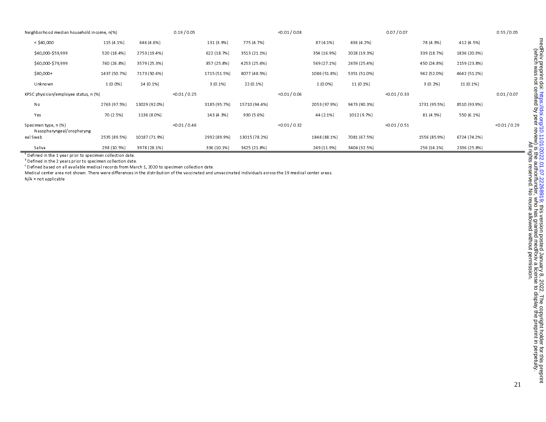| Neighborhood median household income, n(%)        |              |               | 0.19 / 0.05   |              |               | < 0.01 / 0.08 |              |              | 0.07 / 0.07   |              |              | 0.55 / 0.05   |
|---------------------------------------------------|--------------|---------------|---------------|--------------|---------------|---------------|--------------|--------------|---------------|--------------|--------------|---------------|
| $<$ \$40,000                                      | 115 (4.1%)   | 646 (4.6%)    |               | 131 (3.9%)   | 775 (4.7%)    |               | 87 (4.1%)    | 436 (4.2%)   |               | 78 (4.3%)    | 412 (4.5%)   |               |
| \$40,000-\$59,999                                 | 520 (18.4%)  | 2753 (19.4%)  |               | 622 (18.7%)  | 3513 (21.1%)  |               | 354 (16.9%)  | 2028 (19.3%) |               | 339 (18.7%)  | 1836 (20.3%) |               |
| \$60,000-\$79,999                                 | 760 (26.8%)  | 3579 (25.3%)  |               | 857 (25.8%)  | 4253 (25.6%)  |               | 569 (27.1%)  | 2659 (25.4%) |               | 450 (24.8%)  | 2159 (23.8%) |               |
| $$80,000+$                                        | 1437 (50.7%) | 7173 (50.6%)  |               | 1715 (51.5%) | 8077 (48.5%)  |               | 1086 (51.8%) | 5351 (51.0%) |               | 942 (52.0%)  | 4642 (51.2%) |               |
| Unknown                                           | $1(0.0\%)$   | 14 (0.1%)     |               | $3(0.1\%)$   | 22 (0.1%)     |               | $1(0.0\%)$   | 11 (0.1%)    |               | 3(0.2%       | 11 (0.1%)    |               |
| KPSC physician/employee status, n (%)             |              |               | < 0.01 / 0.25 |              |               | < 0.01 / 0.06 |              |              | < 0.01 / 0.33 |              |              | 0.01 / 0.07   |
| No                                                | 2763 (97.5%) | 13029 (92.0%) |               | 3185 (95.7%) | 15710 (94.4%) |               | 2053 (97.9%) | 9473 (90.3%) |               | 1731 (95.5%) | 8510 (93.9%) |               |
| Yes                                               | 70 (2.5%)    | 1136 (8.0%)   |               | 143 (4.3%)   | 930 (5.6%)    |               | 44 (2.1%)    | 1012 (9.7%)  |               | 81 (4.5%)    | 550 (6.1%)   |               |
| Specimen type, n (%)<br>Nasopharyngeal/oropharyng |              |               | < 0.01 / 0.46 |              |               | < 0.01 / 0.32 |              |              | < 0.01 / 0.51 |              |              | < 0.01 / 0.29 |
| eal Swab                                          | 2535 (89.5%) | 10187 (71.9%) |               | 2992 (89.9%) | 13015 (78.2%) |               | 1848 (88.1%) | 7081 (67.5%) |               | 1556 (85.9%) | 6724 (74.2%) |               |
| Saliva<br>$\mathbf{a}$ and $\mathbf{a}$           | 298 (10.5%)  | 3978 (28.1%)  |               | 336 (10.1%)  | 3625 (21.8%)  |               | 249 (11.9%)  | 3404 (32.5%) |               | 256 (14.1%)  | 2336 (25.8%) |               |

<sup>a</sup> Defined in the 1 year prior to specimen collection date.  $<sup>b</sup>$  Defined in the 2 years prior to specimen collection date.</sup>

c Defined based on all available medical records from March 1, 2020 to specimen collection date.

Medical center area not shown. There were differences in the distribution of the vaccinated and unvaccinated individuals across the 19 medical center areas.

N/A = not applicable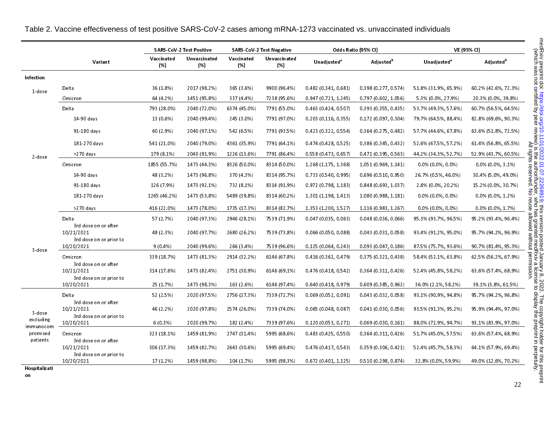|                        |                                                               |                   | <b>SARS-CoV-2 Test Positive</b> |                   | <b>SARS-CoV-2 Test Negative</b> |                               | Odds Ratio (95% CI)    |                                | VE (95% CI)           |
|------------------------|---------------------------------------------------------------|-------------------|---------------------------------|-------------------|---------------------------------|-------------------------------|------------------------|--------------------------------|-----------------------|
|                        | Variant                                                       | Vaccinated<br>(%) | Unvaccinated<br>(%)             | Vaccinated<br>(%) | Unvaccinated<br>(%)             | <b>Unadjusted<sup>®</sup></b> | Adjusted <sup>b</sup>  | <b>Unadjusted</b> <sup>ª</sup> | Adjusted <sup>b</sup> |
| <b>Infection</b>       |                                                               |                   |                                 |                   |                                 |                               |                        |                                |                       |
| 1-dose                 | Delta                                                         | 36 (1.8%)         | 2017 (98.2%)                    | 365 (3.6%)        | 9900 (96.4%)                    | 0.482(0.341, 0.681)           | 0.398(0.277, 0.574)    | 51.8% (31.9%, 65.9%)           | 60.2% (42.6%, 72.3%)  |
|                        | Omicron                                                       | 64 (4.2%)         | 1451 (95.8%)                    | 337 (4.4%)        | 7238 (95.6%)                    | 0.947(0.721, 1.245)           | 0.797(0.602, 1.056)    | 5.3% (0.0%, 27.9%)             | 20.3% (0.0%, 39.8%)   |
|                        | Delta                                                         | 793 (28.0%)       | 2040 (72.0%)                    | 6374 (45.0%)      | 7791 (55.0%)                    | 0.463(0.424, 0.507)           | 0.393(0.355, 0.435)    | 53.7% (49.3%, 57.6%)           | 60.7% (56.5%, 64.5%)  |
|                        | 14-90 days                                                    | 13 (0.6%)         | 2040 (99.4%)                    | 245 (3.0%)        | 7791 (97.0%)                    | 0.203(0.116, 0.355)           | 0.172(0.097, 0.304)    | 79.7% (64.5%, 88.4%)           | 82.8% (69.6%, 90.3%)  |
|                        | 91-180 days                                                   | 60 (2.9%)         | 2040 (97.1%)                    | 542 (6.5%)        | 7791 (93.5%)                    | 0.423(0.322, 0.554)           | 0.364(0.275, 0.482)    | 57.7% (44.6%, 67.8%)           | 63.6% (51.8%, 72.5%)  |
|                        | 181-270 days                                                  | 541 (21.0%)       | 2040 (79.0%)                    | 4361 (35.9%)      | 7791 (64.1%)                    | 0.474(0.428, 0.525)           | 0.386(0.345, 0.432)    | 52.6% (47.5%, 57.2%)           | 61.4% (56.8%, 65.5%)  |
| 2-dose                 | >270 days                                                     | 179 (8.1%)        | 2040 (91.9%)                    | 1226 (13.6%)      | 7791 (86.4%)                    | 0.558(0.473, 0.657)           | 0.471(0.395, 0.563)    | 44 2% (34 3%, 52 7%)           | 52.9% (43.7%, 60.5%)  |
|                        | Omicron                                                       | 1855 (55.7%)      | 1473 (44.3%)                    | 8326 (50.0%)      | 8314 (50.0%)                    | 1.268 (1.175, 1.368)          | 1.051 (0.969, 1.141)   | $0.0\%$ (0.0%, 0.0%)           | $0.0\%$ (0.0%, 3.1%)  |
|                        | 14-90 days                                                    | 48 (3.2%)         | 1473 (96.8%)                    | 370 (4.3%)        | 8314 (95.7%)                    | 0.733(0.540, 0.995)           | 0.696(0.510, 0.950)    | 26.7% (0.5%, 46.0%)            | 30.4% (5.0%, 49.0%)   |
|                        | 91-180 days                                                   | 126 (7.9%)        | 1473 (92.1%)                    | 732 (8.1%)        | 8314 (91.9%)                    | 0.972 (0.798, 1.183)          | 0.848(0.693, 1.037)    | 2.8% (0.0%, 20.2%)             | 15.2% (0.0%, 30.7%)   |
|                        | 181-270 days                                                  | 1265 (46.2%)      | 1473 (53.8%)                    | 5489 (39.8%)      | 8314 (60.2%)                    | 1.301 (1.198, 1.413)          | 1.080 (0.988, 1.181)   | $0.0\%$ (0.0%, 0.0%)           | $0.0\%$ (0.0%, 1.2%)  |
|                        | >270 days                                                     | 416 (22.0%)       | 1473 (78.0%)                    | 1735 (17.3%)      | 8314 (82.7%)                    | 1.353 (1.200, 1.527)          | 1.116 (0.983, 1.267)   | $0.0\%$ (0.0%, 0.0%)           | $0.0\%$ (0.0%, 1.7%)  |
|                        | Delta                                                         | 57 (2.7%)         | 2040 (97.3%)                    | 2946 (28.1%)      | 7539 (71.9%)                    | 0.047(0.035, 0.063)           | 0.048(0.036, 0.066)    | 95 3% (93 7%, 96 5%)           | 95.2% (93.4%, 96.4%)  |
|                        | 3rd dose on or after<br>10/21/2021<br>3rd dose on or prior to | 48 (2.3%)         | 2040 (97.7%)                    | 2680 (26.2%)      | 7539 (73.8%)                    | 0.066(0.050, 0.088)           | 0.043(0.031, 0.058)    | 93.4% (91.2%, 95.0%)           | 95.7% (94.2%, 96.9%)  |
| 3 dose                 | 10/20/2021                                                    | $9(0.4\%)$        | 2040 (99.6%)                    | 266 (3.4%)        | 7539 (96.6%)                    | 0.125(0.064, 0.243)           | 0.093(0.047, 0.186)    | 87.5% (75.7%, 93.6%)           | 90.7% (81.4%, 95.3%)  |
|                        | Omicron<br>3rd dose on or after                               | 339 (18.7%)       | 1473 (81.3%)                    | 2914 (32.2%)      | 6146 (67.8%)                    | 0.416(0.362, 0.479)           | 0.375(0.321, 0.438)    | 58.4% (52.1%, 63.8%)           | 62.5% (56.2%, 67.9%)  |
|                        | 10/21/2021                                                    | 314 (17.6%)       | 1473 (82.4%)                    | 2751 (30.9%)      | 6146 (69.1%)                    | 0.476 (0.418, 0.542)          | 0.364(0.311, 0.426)    | 52.4% (45.8%, 58.2%)           | 63.6% (57.4%, 68.9%)  |
|                        | 3rd dose on or prior to<br>10/20/2021                         | 25 (1.7%)         | 1473 (98.3%)                    | 163 (2.6%)        | 6146 (97.4%)                    | 0.640(0.418, 0.979)           | 0.609(0.385, 0.962)    | 36.0% (2.1%, 58.2%)            | 39.1% (3.8%, 61.5%)   |
|                        | Delta                                                         | 52 (2.5%)         | 2020 (97.5%)                    | 2756 (27.3%)      | 7339 (72.7%)                    | 0.069(0.052, 0.091)           | 0.043(0.032, 0.058)    | 93.1% (90.9%, 94.8%)           | 95.7% (94.2%, 96.8%)  |
| 3-dose                 | 3rd dose on or after<br>10/21/2021<br>3rd dose on or prior to | 46 (2.2%)         | 2020 (97.8%)                    | 2574 (26.0%)      | 7339 (74.0%)                    | $0.065$ (0.048, 0.087)        | 0.041(0.030, 0.056)    | 93.5% (91.3%, 95.2%)           | 95 9% (94 4%, 97 0%)  |
| excluding<br>immunocom | 10/20/2021                                                    | 6(0.3%)           | 2020 (99.7%)                    | 182 (2.4%)        | 7339 (97.6%)                    | 0.120(0.053, 0.271)           | 0.069(0.030, 0.161)    | 88.0% (72.9%, 94.7%)           | 93.1% (83.9%, 97.0%)  |
| promised               | Omicron                                                       | 323 (18.1%)       | 1459 (81.9%)                    | 2747 (31.4%)      | 5995 (68.6%)                    | 0.483(0.425, 0.550)           | $0.364$ (0.311, 0.426) | 51.7% (45.0%, 57.5%)           | 63 6% (57.4%, 68.9%)  |
| patients               | 3rd dose on or after<br>10/21/2021<br>3rd dose on or prior to | 306 (17.3%)       | 1459 (82.7%)                    | 2643 (30.6%)      | 5995 (69.4%)                    | 0.476(0.417, 0.543)           | 0.359(0.306, 0.421)    | 52.4% (45.7%, 58.3%)           | 64.1% (57.9%, 69.4%)  |
|                        | 10/20/2021                                                    | $17(1.2\%)$       | 1459 (98.8%)                    | 104 (1.7%)        | 5995 (98.3%)                    | $0.672$ (0.401, 1.125)        | 0.510(0.298, 0.874)    | 32.8% (0.0%, 59.9%)            | 49.0% (12.6%, 70.2%)  |
| Hospitalizati<br>on    |                                                               |                   |                                 |                   |                                 |                               |                        |                                | 22                    |

| Table 2. Vaccine effectiveness of test positive SARS-CoV-2 cases among mRNA-1273 vaccinated vs. unvaccinated individuals |  |  |
|--------------------------------------------------------------------------------------------------------------------------|--|--|
|                                                                                                                          |  |  |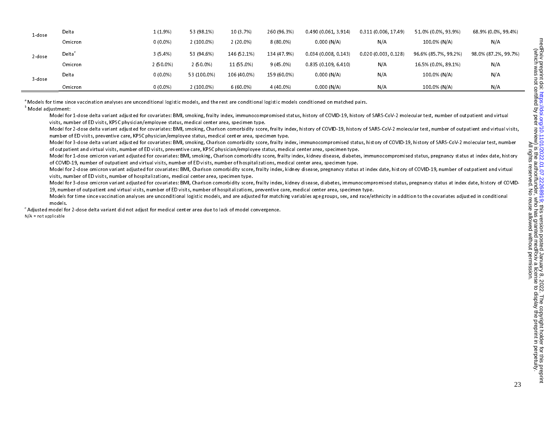| 1-dose | Delta   | 1(1.9%)    | 53 (98.1%)   | 10 (3.7%)   | 260 (96.3%) | 0.490(0.061, 3.914) | 0.311 (0.006.17.49) | 51.0% (0.0%, 93.9%)  | 68.9% (0.0%, 99.4%)  |
|--------|---------|------------|--------------|-------------|-------------|---------------------|---------------------|----------------------|----------------------|
|        | Omicron | $0(0.0\%)$ | $2(100.0\%)$ | $2(20.0\%)$ | $8(80.0\%)$ | 0.000(N/A)          | N/A                 | 100.0% (N/A)         | N/A                  |
| 2 dose | Delta`  | 3(5.4%)    | 53 (94.6%)   | 146 (52.1%) | 134 (47.9%) | 0.034(0.008, 0.143) | 0.020(0.003, 0.128) | 96.6% (85.7%, 99.2%) | 98.0% (87.2%, 99.7%) |
|        | Omicron | 2(50.0%    | $2(50.0\%)$  | 11 (55.0%)  | $9(45.0\%)$ | 0.835(0.109, 6.410) | N/A                 | 16.5% (0.0%, 89.1%)  | N/A                  |
| 3 dose | Delta   | $0(0.0\%)$ | 53 (100.0%)  | 106 (40.0%) | 159 (60.0%) | 0.000(N/A)          | N/A                 | 100.0% (N/A)         | N/A                  |
|        | Omicron | $0(0.0\%)$ | $2(100.0\%)$ | $6(60.0\%)$ | 4 (40.0%)   | 0.000(N/A)          | N/A                 | 100.0% (N/A)         | N/A                  |

<sup>a</sup> Models for time since vaccination analyses are unconditional logistic models, and the rest are conditional logistic models conditioned on matched pairs.

**b** Model adjustment:

Model for 1-dose delta variant adjusted for covariates: BMI, smoking, frailty index, immunocompromised status, history of COVID-19, history of SARS-CoV-2 molecular test, number of outpatient and virtual visits, number of ED visits, KPSC physician/employee status, medical center area, specimen type.

Model for 2-dose delta variant adjusted for covariates: BMI, smoking, Charlson comorbidity score, frailty index, history of COVID-19, history of SARS-CoV-2 molecular test, number of outpatient and virtual visits, number of ED visits, preventive care, KPSC physician/employee status, medical center area, specimen type.

Model for 3-dose delta variant adjusted for covariates: BMI, smoking, Charlson comorbidity score, frailty index, immunocompromised status, history of COVID-19, history of SARS-CoV-2 molecular test, number of outpatient and virtual visits, number of ED visits, preventive care, KPSC physician/employee status, medical center area, specimen type.

Model for 1-dose omicron variant adjusted for covariates: BMI, smoking, Charlson comorbidity score, frailty index, kidney disease, diabetes, immunocompromised status, pregnancy status at index date, history of COVID-19, number of outpatient and virtual visits, number of ED visits, number of hospitalizations, medical center area, specimen type.

Model for 2-dose omicron variant adjusted for covariates: BMI, Charlson comorbidity score, frailty index, kidney disease, pregnancy status at index date, history of COVID-19, number of outpatient and virtual visits, number of ED visits, number of hospitalizations, medical center area, specimen type.

Model for 3-dose omicron variant adjusted for covariates: BMI, Charlson comorbidity score, frailty index, kidney disease, diabetes, immunocompromised status, pregnancy status at index date, history of COVID-19, number of outpatient and virtual visits, number of ED visits, number of hospitalizations, preventive care, medical center area, specimen type.

Models for time since vaccination analyses are unconditional logistic models, and are adjusted for matching variables age groups, sex, and race/ethnicity in addition to the covariates adjusted in conditional models.

c Adjusted model for 2-dose delta variant did not adjust for medical center area due to lack of model convergence.

N/A = not applicable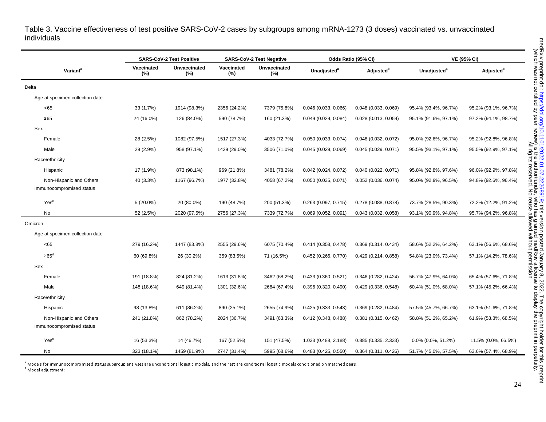Table 3. Vaccine effectiveness of test positive SARS-CoV-2 cases by subgroups among mRNA-1273 (3 doses) vaccinated vs. unvaccinated individuals

|                                                     |                   | <b>SARS-CoV-2 Test Positive</b> |                      | <b>SARS-CoV-2 Test Negative</b> |                               | Odds Ratio (95% CI)    |                         | <b>VE (95% CI)</b>           |
|-----------------------------------------------------|-------------------|---------------------------------|----------------------|---------------------------------|-------------------------------|------------------------|-------------------------|------------------------------|
| Variant <sup>a</sup>                                | Vaccinated<br>(%) | Unvaccinated<br>(%)             | Vaccinated<br>$(\%)$ | Unvaccinated<br>(%)             | <b>Unadjusted<sup>a</sup></b> | Adjusted <sup>b</sup>  | Unadjusted <sup>a</sup> | <b>Adjusted</b> <sup>b</sup> |
| Delta                                               |                   |                                 |                      |                                 |                               |                        |                         |                              |
| Age at specimen collection date                     |                   |                                 |                      |                                 |                               |                        |                         |                              |
| <65                                                 | 33 (1.7%)         | 1914 (98.3%)                    | 2356 (24.2%)         | 7379 (75.8%)                    | $0.046$ (0.033, 0.066)        | $0.048$ (0.033, 0.069) | 95.4% (93.4%, 96.7%)    | 95.2% (93.1%, 96.7%)         |
| $\geq 65$                                           | 24 (16.0%)        | 126 (84.0%)                     | 590 (78.7%)          | 160 (21.3%)                     | 0.049 (0.029, 0.084)          | $0.028$ (0.013, 0.059) | 95.1% (91.6%, 97.1%)    | 97.2% (94.1%, 98.7%)         |
| Sex                                                 |                   |                                 |                      |                                 |                               |                        |                         |                              |
| Female                                              | 28 (2.5%)         | 1082 (97.5%)                    | 1517 (27.3%)         | 4033 (72.7%)                    | 0.050(0.033, 0.074)           | 0.048(0.032, 0.072)    | 95.0% (92.6%, 96.7%)    | 95.2% (92.8%, 96.8%)         |
| Male                                                | 29 (2.9%)         | 958 (97.1%)                     | 1429 (29.0%)         | 3506 (71.0%)                    | 0.045(0.029, 0.069)           | 0.045(0.029, 0.071)    | 95.5% (93.1%, 97.1%)    | 95.5% (92.9%, 97.1%)         |
| Race/ethnicity                                      |                   |                                 |                      |                                 |                               |                        |                         |                              |
| Hispanic                                            | 17 (1.9%)         | 873 (98.1%)                     | 969 (21.8%)          | 3481 (78.2%)                    | $0.042$ (0.024, 0.072)        | 0.040(0.022, 0.071)    | 95.8% (92.8%, 97.6%)    | 96.0% (92.9%, 97.8%)         |
| Non-Hispanic and Others<br>Immunocompromised status | 40 (3.3%)         | 1167 (96.7%)                    | 1977 (32.8%)         | 4058 (67.2%)                    | $0.050$ (0.035, 0.071)        | $0.052$ (0.036, 0.074) | 95.0% (92.9%, 96.5%)    | 94.8% (92.6%, 96.4%)         |
| Yes <sup>c</sup>                                    | $5(20.0\%)$       | 20 (80.0%)                      | 190 (48.7%)          | 200 (51.3%)                     | $0.263$ (0.097, 0.715)        | 0.278 (0.088, 0.878)   | 73.7% (28.5%, 90.3%)    | 72.2% (12.2%, 91.2%)         |
| <b>No</b>                                           | 52 (2.5%)         | 2020 (97.5%)                    | 2756 (27.3%)         | 7339 (72.7%)                    | $0.069$ (0.052, 0.091)        | 0.043(0.032, 0.058)    | 93.1% (90.9%, 94.8%)    | 95.7% (94.2%, 96.8%)         |
| Omicron                                             |                   |                                 |                      |                                 |                               |                        |                         |                              |
| Age at specimen collection date                     |                   |                                 |                      |                                 |                               |                        |                         |                              |
| <65                                                 | 279 (16.2%)       | 1447 (83.8%)                    | 2555 (29.6%)         | 6075 (70.4%)                    | 0.414(0.358, 0.478)           | 0.369(0.314, 0.434)    | 58.6% (52.2%, 64.2%)    | 63.1% (56.6%, 68.6%)         |
| $\geq 65^d$                                         | 60 (69.8%)        | 26 (30.2%)                      | 359 (83.5%)          | 71 (16.5%)                      | $0.452$ (0.266, 0.770)        | 0.429(0.214, 0.858)    | 54.8% (23.0%, 73.4%)    | 57.1% (14.2%, 78.6%)         |
| Sex                                                 |                   |                                 |                      |                                 |                               |                        |                         |                              |
| Female                                              | 191 (18.8%)       | 824 (81.2%)                     | 1613 (31.8%)         | 3462 (68.2%)                    | 0.433(0.360, 0.521)           | 0.346(0.282, 0.424)    | 56.7% (47.9%, 64.0%)    | 65.4% (57.6%, 71.8%)         |
| Male                                                | 148 (18.6%)       | 649 (81.4%)                     | 1301 (32.6%)         | 2684 (67.4%)                    | 0.396(0.320, 0.490)           | 0.429(0.336, 0.548)    | 60.4% (51.0%, 68.0%)    | 57.1% (45.2%, 66.4%)         |
| Race/ethnicity                                      |                   |                                 |                      |                                 |                               |                        |                         |                              |
| Hispanic                                            | 98 (13.8%)        | 611 (86.2%)                     | 890 (25.1%)          | 2655 (74.9%)                    | 0.425(0.333, 0.543)           | 0.369(0.282, 0.484)    | 57.5% (45.7%, 66.7%)    | 63.1% (51.6%, 71.8%)         |
| Non-Hispanic and Others<br>Immunocompromised status | 241 (21.8%)       | 862 (78.2%)                     | 2024 (36.7%)         | 3491 (63.3%)                    | 0.412 (0.348, 0.488)          | $0.381$ (0.315, 0.462) | 58.8% (51.2%, 65.2%)    | 61.9% (53.8%, 68.5%)         |
| Yes <sup>e</sup>                                    | 16 (53.3%)        | 14 (46.7%)                      | 167 (52.5%)          | 151 (47.5%)                     | 1.033 (0.488, 2.188)          | 0.885(0.335, 2.333)    | $0.0\%$ (0.0%, 51.2%)   | 11.5% (0.0%, 66.5%)          |
| No                                                  | 323 (18.1%)       | 1459 (81.9%)                    | 2747 (31.4%)         | 5995 (68.6%)                    | $0.483$ (0.425, 0.550)        | 0.364(0.311, 0.426)    | 51.7% (45.0%, 57.5%)    | 63.6% (57.4%, 68.9%)         |

<sup>a</sup> Models for immunocompromised status subgroup analyses are unconditional logistic models, and the rest are conditional logistic models conditioned on matched pairs. **b** Model adjustment: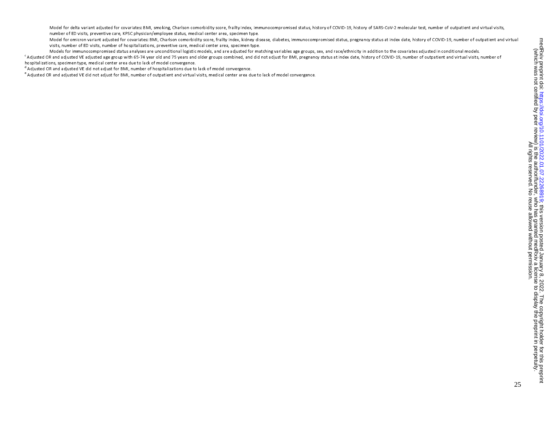Model for delta variant adjusted for covariates: BMI, smoking, Charlson comorbidity score, frailty index, immunocompromised status, history of COVID-19, history of SARS-CoV-2 molecular test, number of outpatient and virtua number of ED visits, preventive care, KPSC physician/employee status, medical center area, specimen type.

Model for omicron variant adjusted for covariates: BMI, Charlson comorbidity score, frailty index, kidney disease, diabetes, immunocompromised status, pregnancy status at index date, history of COVID-19, number of outpatie visits, number of ED visits, number of hospitalizations, preventive care, medical center area, specimen type.<br>Models for immunocompromised status analyses are unconditional logistic models, and are adjusted for matching va

<sup>c</sup> Adjusted OR and adjusted VE adjusted age group with 65-74 year old and 75 years and older groups combined, and did not adjust for BMI, pregnancy status at index date, history of COVID-19, number of outpatient and virtu hospitalizations, specimen type, medical center area due to lack of model convergence.

d Adjusted OR and adjusted VE did not adjust for BMI, number of hospitalizations due to lack of model convergence.

e Adjusted OR and adjusted VE did not adjust for BMI, number of outpatient and virtual visits, medical center area due to lack of model convergence.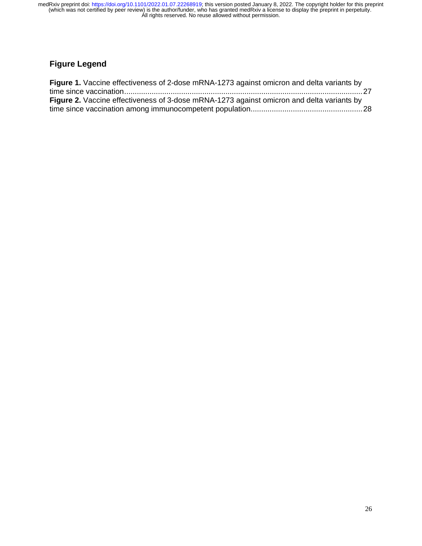# **Figure Legend**

| Figure 1. Vaccine effectiveness of 2-dose mRNA-1273 against omicron and delta variants by        |  |
|--------------------------------------------------------------------------------------------------|--|
|                                                                                                  |  |
| <b>Figure 2.</b> Vaccine effectiveness of 3-dose mRNA-1273 against omicron and delta variants by |  |
|                                                                                                  |  |
|                                                                                                  |  |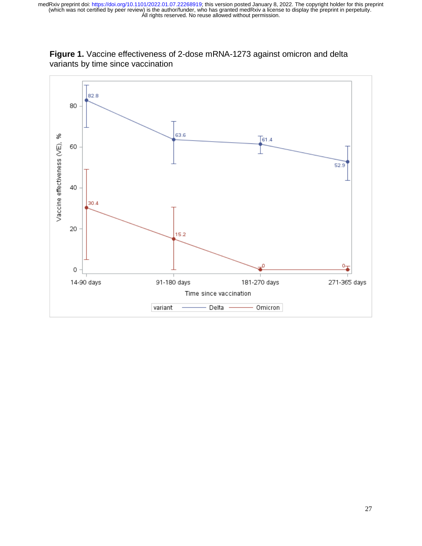

**Figure 1.** Vaccine effectiveness of 2-dose mRNA-1273 against omicron and delta variants by time since vaccination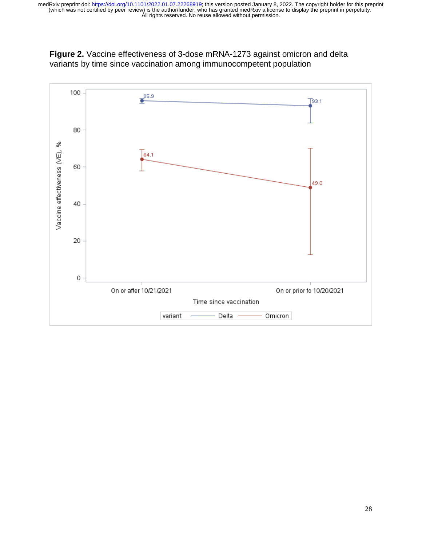

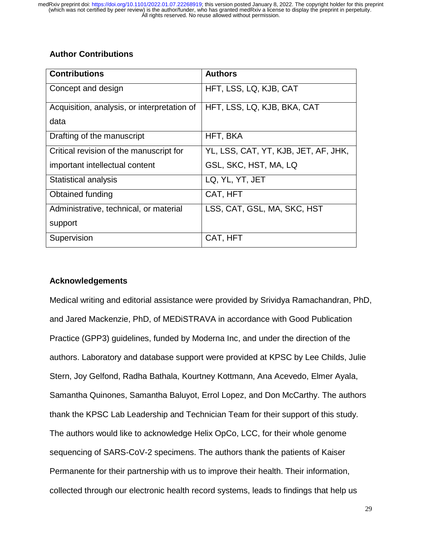# **Author Contributions**

| <b>Contributions</b>                        | <b>Authors</b>                       |
|---------------------------------------------|--------------------------------------|
| Concept and design                          | HFT, LSS, LQ, KJB, CAT               |
| Acquisition, analysis, or interpretation of | HFT, LSS, LQ, KJB, BKA, CAT          |
| data                                        |                                      |
| Drafting of the manuscript                  | HFT, BKA                             |
| Critical revision of the manuscript for     | YL, LSS, CAT, YT, KJB, JET, AF, JHK, |
| important intellectual content              | GSL, SKC, HST, MA, LQ                |
| Statistical analysis                        | LQ, YL, YT, JET                      |
| Obtained funding                            | CAT, HFT                             |
| Administrative, technical, or material      | LSS, CAT, GSL, MA, SKC, HST          |
| support                                     |                                      |
| Supervision                                 | CAT, HFT                             |

## **Acknowledgements**

Medical writing and editorial assistance were provided by Srividya Ramachandran, PhD, and Jared Mackenzie, PhD, of MEDiSTRAVA in accordance with Good Publication Practice (GPP3) guidelines, funded by Moderna Inc, and under the direction of the authors. Laboratory and database support were provided at KPSC by Lee Childs, Julie Stern, Joy Gelfond, Radha Bathala, Kourtney Kottmann, Ana Acevedo, Elmer Ayala, Samantha Quinones, Samantha Baluyot, Errol Lopez, and Don McCarthy. The authors thank the KPSC Lab Leadership and Technician Team for their support of this study. The authors would like to acknowledge Helix OpCo, LCC, for their whole genome sequencing of SARS-CoV-2 specimens. The authors thank the patients of Kaiser Permanente for their partnership with us to improve their health. Their information, collected through our electronic health record systems, leads to findings that help us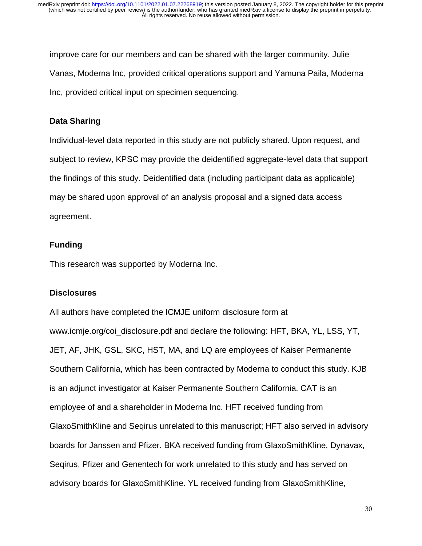improve care for our members and can be shared with the larger community. Julie Vanas, Moderna Inc, provided critical operations support and Yamuna Paila, Moderna Inc, provided critical input on specimen sequencing.

## **Data Sharing**

Individual-level data reported in this study are not publicly shared. Upon request, and subject to review, KPSC may provide the deidentified aggregate-level data that support the findings of this study. Deidentified data (including participant data as applicable) may be shared upon approval of an analysis proposal and a signed data access agreement.

## **Funding**

This research was supported by Moderna Inc.

## **Disclosures**

All authors have completed the ICMJE uniform disclosure form at www.icmje.org/coi\_disclosure.pdf and declare the following: HFT, BKA, YL, LSS, YT, JET, AF, JHK, GSL, SKC, HST, MA, and LQ are employees of Kaiser Permanente Southern California, which has been contracted by Moderna to conduct this study. KJB is an adjunct investigator at Kaiser Permanente Southern California. CAT is an employee of and a shareholder in Moderna Inc. HFT received funding from GlaxoSmithKline and Seqirus unrelated to this manuscript; HFT also served in advisory boards for Janssen and Pfizer. BKA received funding from GlaxoSmithKline, Dynavax, Seqirus, Pfizer and Genentech for work unrelated to this study and has served on advisory boards for GlaxoSmithKline. YL received funding from GlaxoSmithKline,